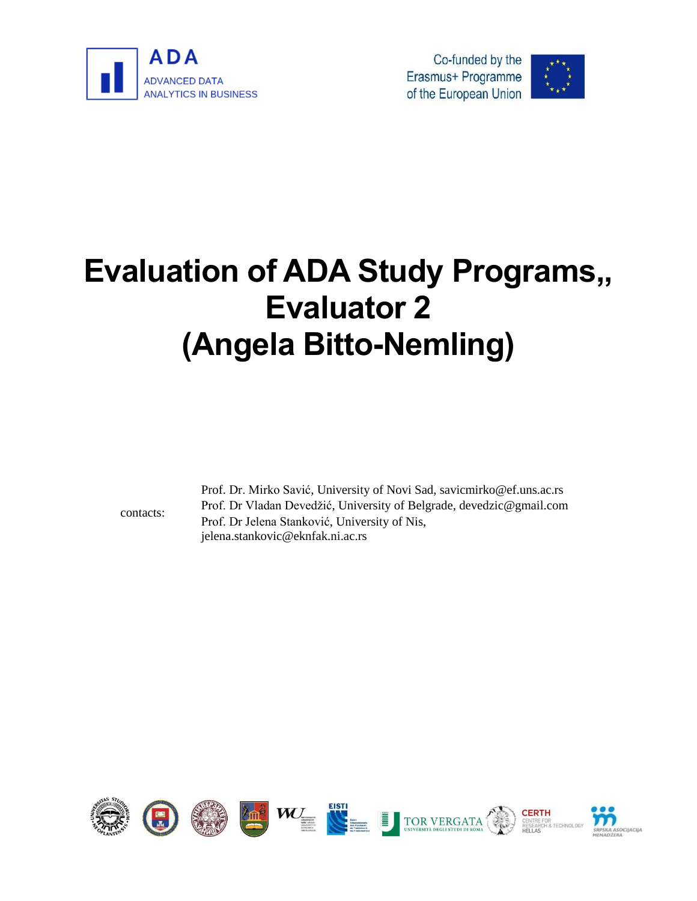





# **Evaluation of ADA Study Programs,, Evaluator 2 (Angela Bitto-Nemling)**

contacts:

Prof. Dr. Mirko Savić, University of Novi Sad, savicmirko@ef.uns.ac.rs Prof. Dr Vladan Devedžić, University of Belgrade, devedzic@gmail.com Prof. Dr Jelena Stanković, University of Nis, jelena.stankovic@eknfak.ni.ac.rs

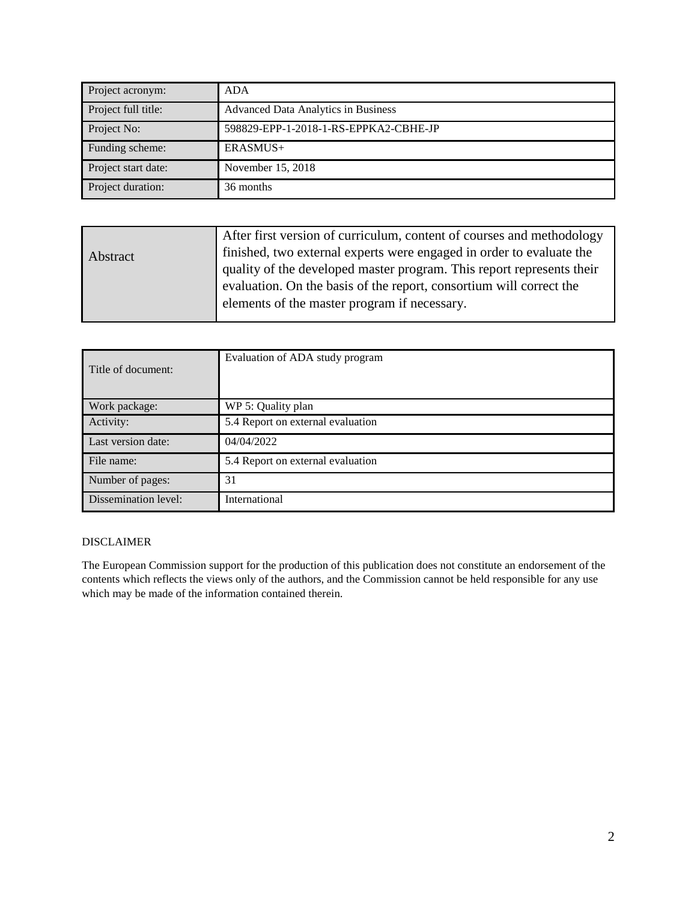| Project acronym:    | <b>ADA</b>                                 |
|---------------------|--------------------------------------------|
| Project full title: | <b>Advanced Data Analytics in Business</b> |
| Project No:         | 598829-EPP-1-2018-1-RS-EPPKA2-CBHE-JP      |
| Funding scheme:     | $ERASMIS+$                                 |
| Project start date: | November 15, 2018                          |
| Project duration:   | 36 months                                  |

| Abstract | After first version of curriculum, content of courses and methodology<br>finished, two external experts were engaged in order to evaluate the<br>quality of the developed master program. This report represents their<br>evaluation. On the basis of the report, consortium will correct the<br>elements of the master program if necessary. |
|----------|-----------------------------------------------------------------------------------------------------------------------------------------------------------------------------------------------------------------------------------------------------------------------------------------------------------------------------------------------|
|          |                                                                                                                                                                                                                                                                                                                                               |

| Title of document:   | Evaluation of ADA study program   |
|----------------------|-----------------------------------|
| Work package:        | WP 5: Quality plan                |
| Activity:            | 5.4 Report on external evaluation |
| Last version date:   | 04/04/2022                        |
| File name:           | 5.4 Report on external evaluation |
| Number of pages:     | 31                                |
| Dissemination level: | International                     |

#### DISCLAIMER

The European Commission support for the production of this publication does not constitute an endorsement of the contents which reflects the views only of the authors, and the Commission cannot be held responsible for any use which may be made of the information contained therein.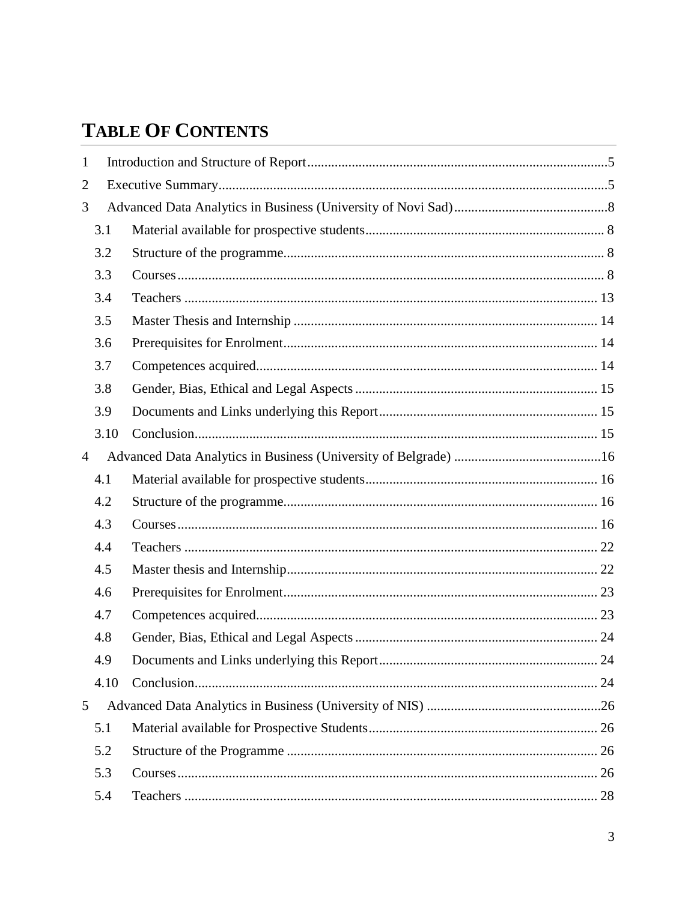# **TABLE OF CONTENTS**

| $\mathbf{1}$   |      |  |  |  |  |  |
|----------------|------|--|--|--|--|--|
| $\overline{2}$ |      |  |  |  |  |  |
| 3              |      |  |  |  |  |  |
|                | 3.1  |  |  |  |  |  |
|                | 3.2  |  |  |  |  |  |
|                | 3.3  |  |  |  |  |  |
|                | 3.4  |  |  |  |  |  |
|                | 3.5  |  |  |  |  |  |
|                | 3.6  |  |  |  |  |  |
|                | 3.7  |  |  |  |  |  |
|                | 3.8  |  |  |  |  |  |
|                | 3.9  |  |  |  |  |  |
|                | 3.10 |  |  |  |  |  |
| $\overline{4}$ |      |  |  |  |  |  |
|                | 4.1  |  |  |  |  |  |
|                | 4.2  |  |  |  |  |  |
|                | 4.3  |  |  |  |  |  |
|                | 4.4  |  |  |  |  |  |
|                | 4.5  |  |  |  |  |  |
|                | 4.6  |  |  |  |  |  |
|                | 4.7  |  |  |  |  |  |
|                | 4.8  |  |  |  |  |  |
|                | 4.9  |  |  |  |  |  |
|                | 4.10 |  |  |  |  |  |
| 5              |      |  |  |  |  |  |
|                | 5.1  |  |  |  |  |  |
|                | 5.2  |  |  |  |  |  |
|                | 5.3  |  |  |  |  |  |
|                | 5.4  |  |  |  |  |  |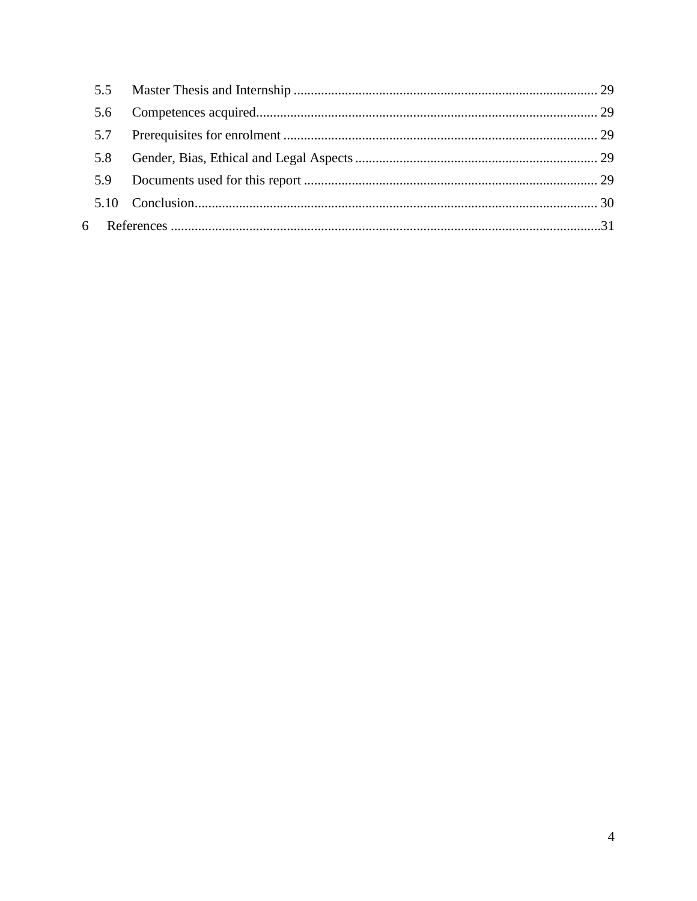| 5.6 |  |
|-----|--|
|     |  |
| 5.8 |  |
|     |  |
|     |  |
|     |  |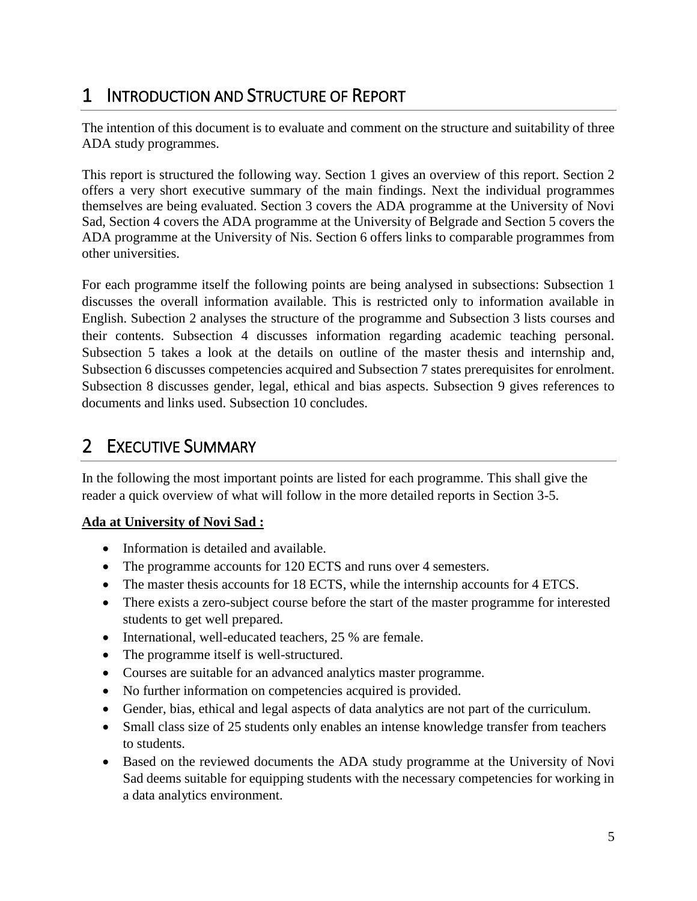# <span id="page-4-0"></span>1 INTRODUCTION AND STRUCTURE OF REPORT

The intention of this document is to evaluate and comment on the structure and suitability of three ADA study programmes.

This report is structured the following way. Section 1 gives an overview of this report. Section 2 offers a very short executive summary of the main findings. Next the individual programmes themselves are being evaluated. Section 3 covers the ADA programme at the University of Novi Sad, Section 4 covers the ADA programme at the University of Belgrade and Section 5 covers the ADA programme at the University of Nis. Section 6 offers links to comparable programmes from other universities.

For each programme itself the following points are being analysed in subsections: Subsection 1 discusses the overall information available. This is restricted only to information available in English. Subection 2 analyses the structure of the programme and Subsection 3 lists courses and their contents. Subsection 4 discusses information regarding academic teaching personal. Subsection 5 takes a look at the details on outline of the master thesis and internship and, Subsection 6 discusses competencies acquired and Subsection 7 states prerequisites for enrolment. Subsection 8 discusses gender, legal, ethical and bias aspects. Subsection 9 gives references to documents and links used. Subsection 10 concludes.

# <span id="page-4-1"></span>2 EXECUTIVE SUMMARY

In the following the most important points are listed for each programme. This shall give the reader a quick overview of what will follow in the more detailed reports in Section 3-5.

# **Ada at University of Novi Sad :**

- Information is detailed and available.
- The programme accounts for 120 ECTS and runs over 4 semesters.
- The master thesis accounts for 18 ECTS, while the internship accounts for 4 ETCS.
- There exists a zero-subject course before the start of the master programme for interested students to get well prepared.
- International, well-educated teachers, 25 % are female.
- The programme itself is well-structured.
- Courses are suitable for an advanced analytics master programme.
- No further information on competencies acquired is provided.
- Gender, bias, ethical and legal aspects of data analytics are not part of the curriculum.
- Small class size of 25 students only enables an intense knowledge transfer from teachers to students.
- Based on the reviewed documents the ADA study programme at the University of Novi Sad deems suitable for equipping students with the necessary competencies for working in a data analytics environment.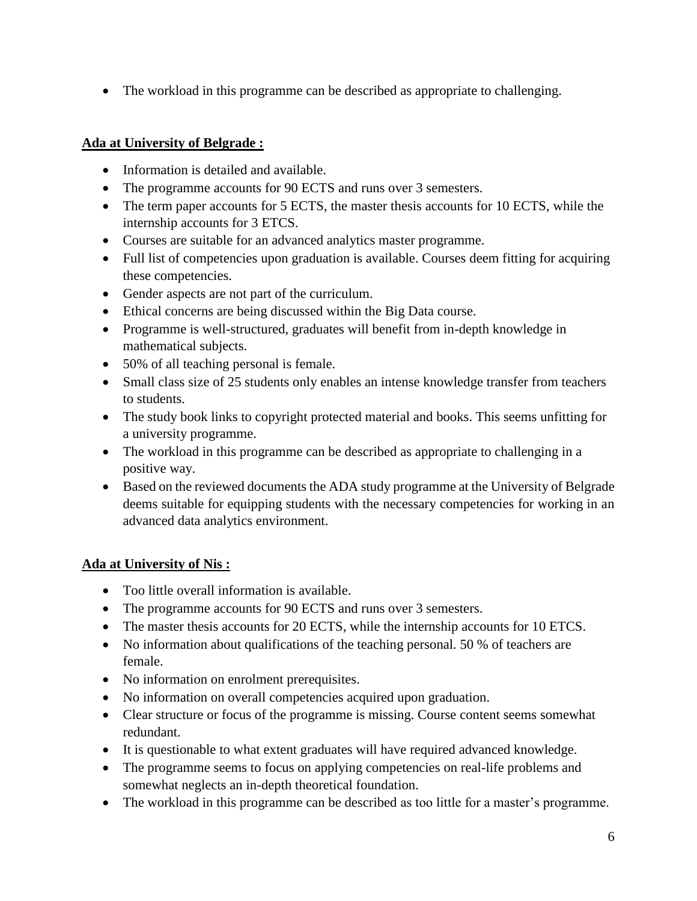The workload in this programme can be described as appropriate to challenging.

# **Ada at University of Belgrade :**

- Information is detailed and available.
- The programme accounts for 90 ECTS and runs over 3 semesters.
- The term paper accounts for 5 ECTS, the master thesis accounts for 10 ECTS, while the internship accounts for 3 ETCS.
- Courses are suitable for an advanced analytics master programme.
- Full list of competencies upon graduation is available. Courses deem fitting for acquiring these competencies.
- Gender aspects are not part of the curriculum.
- Ethical concerns are being discussed within the Big Data course.
- Programme is well-structured, graduates will benefit from in-depth knowledge in mathematical subjects.
- 50% of all teaching personal is female.
- Small class size of 25 students only enables an intense knowledge transfer from teachers to students.
- The study book links to copyright protected material and books. This seems unfitting for a university programme.
- The workload in this programme can be described as appropriate to challenging in a positive way.
- Based on the reviewed documents the ADA study programme at the University of Belgrade deems suitable for equipping students with the necessary competencies for working in an advanced data analytics environment.

# **Ada at University of Nis :**

- Too little overall information is available.
- The programme accounts for 90 ECTS and runs over 3 semesters.
- The master thesis accounts for 20 ECTS, while the internship accounts for 10 ETCS.
- No information about qualifications of the teaching personal. 50 % of teachers are female.
- No information on enrolment prerequisites.
- No information on overall competencies acquired upon graduation.
- Clear structure or focus of the programme is missing. Course content seems somewhat redundant.
- It is questionable to what extent graduates will have required advanced knowledge.
- The programme seems to focus on applying competencies on real-life problems and somewhat neglects an in-depth theoretical foundation.
- The workload in this programme can be described as too little for a master's programme.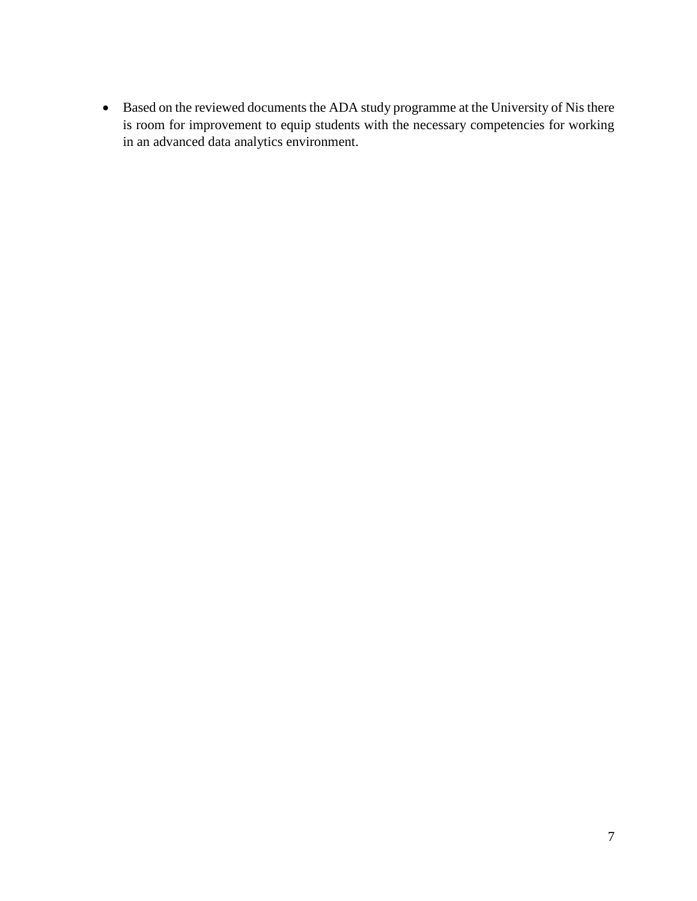Based on the reviewed documents the ADA study programme at the University of Nis there is room for improvement to equip students with the necessary competencies for working in an advanced data analytics environment.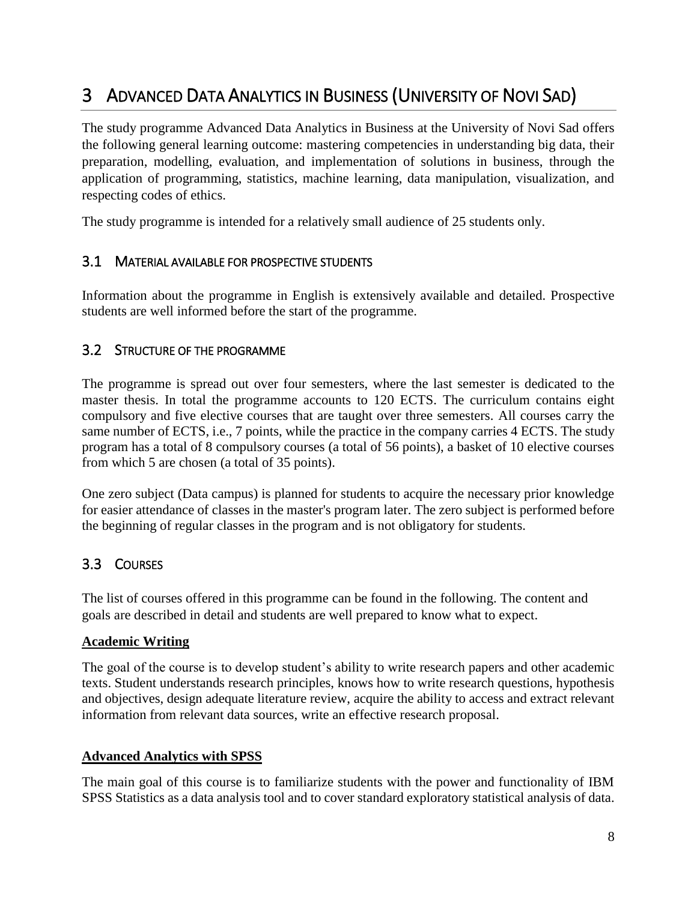# <span id="page-7-0"></span>3 ADVANCED DATA ANALYTICS IN BUSINESS (UNIVERSITY OF NOVI SAD)

The study programme Advanced Data Analytics in Business at the University of Novi Sad offers the following general learning outcome: mastering competencies in understanding big data, their preparation, modelling, evaluation, and implementation of solutions in business, through the application of programming, statistics, machine learning, data manipulation, visualization, and respecting codes of ethics.

The study programme is intended for a relatively small audience of 25 students only.

# <span id="page-7-1"></span>3.1 MATERIAL AVAILABLE FOR PROSPECTIVE STUDENTS

Information about the programme in English is extensively available and detailed. Prospective students are well informed before the start of the programme.

# <span id="page-7-2"></span>3.2 STRUCTURE OF THE PROGRAMME

The programme is spread out over four semesters, where the last semester is dedicated to the master thesis. In total the programme accounts to 120 ECTS. The curriculum contains eight compulsory and five elective courses that are taught over three semesters. All courses carry the same number of ECTS, i.e., 7 points, while the practice in the company carries 4 ECTS. The study program has a total of 8 compulsory courses (a total of 56 points), a basket of 10 elective courses from which 5 are chosen (a total of 35 points).

One zero subject (Data campus) is planned for students to acquire the necessary prior knowledge for easier attendance of classes in the master's program later. The zero subject is performed before the beginning of regular classes in the program and is not obligatory for students.

# <span id="page-7-3"></span>3.3 COURSES

The list of courses offered in this programme can be found in the following. The content and goals are described in detail and students are well prepared to know what to expect.

#### **Academic Writing**

The goal of the course is to develop student's ability to write research papers and other academic texts. Student understands research principles, knows how to write research questions, hypothesis and objectives, design adequate literature review, acquire the ability to access and extract relevant information from relevant data sources, write an effective research proposal.

#### **Advanced Analytics with SPSS**

The main goal of this course is to familiarize students with the power and functionality of IBM SPSS Statistics as a data analysis tool and to cover standard exploratory statistical analysis of data.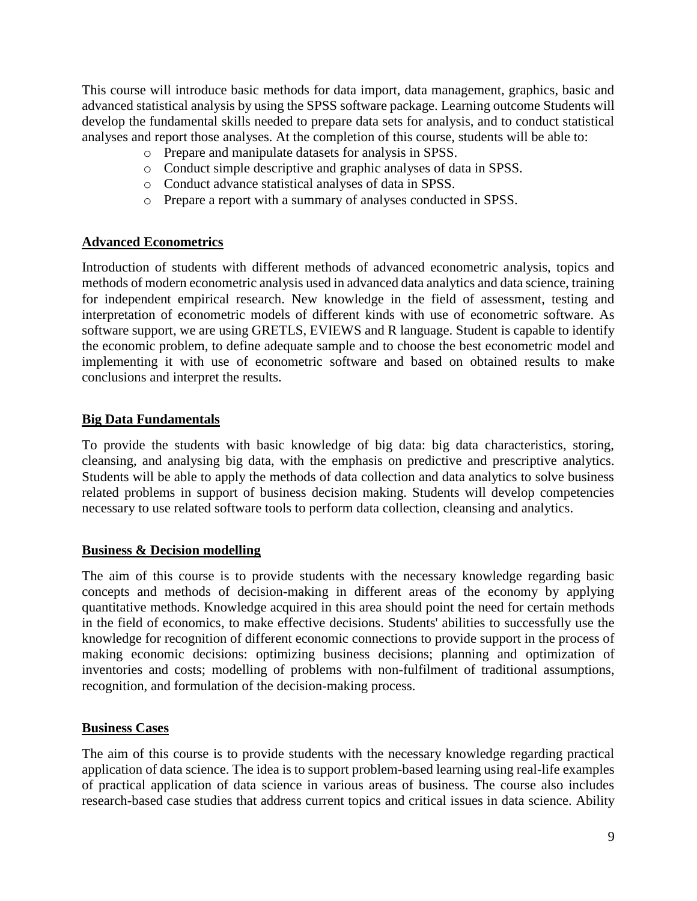This course will introduce basic methods for data import, data management, graphics, basic and advanced statistical analysis by using the SPSS software package. Learning outcome Students will develop the fundamental skills needed to prepare data sets for analysis, and to conduct statistical analyses and report those analyses. At the completion of this course, students will be able to:

- o Prepare and manipulate datasets for analysis in SPSS.
- o Conduct simple descriptive and graphic analyses of data in SPSS.
- o Conduct advance statistical analyses of data in SPSS.
- o Prepare a report with a summary of analyses conducted in SPSS.

#### **Advanced Econometrics**

Introduction of students with different methods of advanced econometric analysis, topics and methods of modern econometric analysis used in advanced data analytics and data science, training for independent empirical research. New knowledge in the field of assessment, testing and interpretation of econometric models of different kinds with use of econometric software. As software support, we are using GRETLS, EVIEWS and R language. Student is capable to identify the economic problem, to define adequate sample and to choose the best econometric model and implementing it with use of econometric software and based on obtained results to make conclusions and interpret the results.

#### **Big Data Fundamentals**

To provide the students with basic knowledge of big data: big data characteristics, storing, cleansing, and analysing big data, with the emphasis on predictive and prescriptive analytics. Students will be able to apply the methods of data collection and data analytics to solve business related problems in support of business decision making. Students will develop competencies necessary to use related software tools to perform data collection, cleansing and analytics.

#### **Business & Decision modelling**

The aim of this course is to provide students with the necessary knowledge regarding basic concepts and methods of decision-making in different areas of the economy by applying quantitative methods. Knowledge acquired in this area should point the need for certain methods in the field of economics, to make effective decisions. Students' abilities to successfully use the knowledge for recognition of different economic connections to provide support in the process of making economic decisions: optimizing business decisions; planning and optimization of inventories and costs; modelling of problems with non-fulfilment of traditional assumptions, recognition, and formulation of the decision-making process.

#### **Business Cases**

The aim of this course is to provide students with the necessary knowledge regarding practical application of data science. The idea is to support problem-based learning using real-life examples of practical application of data science in various areas of business. The course also includes research-based case studies that address current topics and critical issues in data science. Ability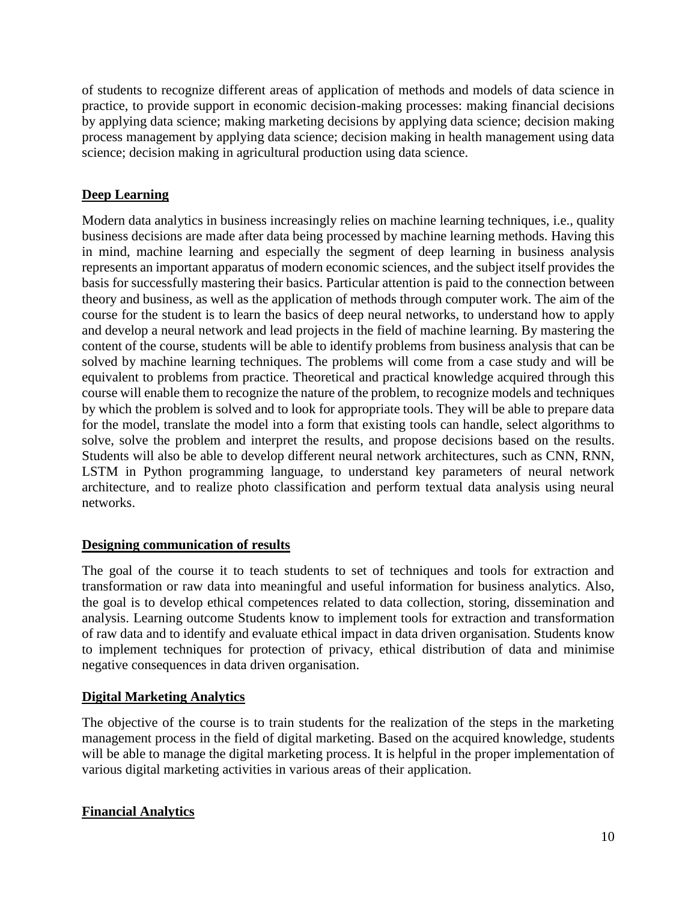of students to recognize different areas of application of methods and models of data science in practice, to provide support in economic decision-making processes: making financial decisions by applying data science; making marketing decisions by applying data science; decision making process management by applying data science; decision making in health management using data science; decision making in agricultural production using data science.

# **Deep Learning**

Modern data analytics in business increasingly relies on machine learning techniques, i.e., quality business decisions are made after data being processed by machine learning methods. Having this in mind, machine learning and especially the segment of deep learning in business analysis represents an important apparatus of modern economic sciences, and the subject itself provides the basis for successfully mastering their basics. Particular attention is paid to the connection between theory and business, as well as the application of methods through computer work. The aim of the course for the student is to learn the basics of deep neural networks, to understand how to apply and develop a neural network and lead projects in the field of machine learning. By mastering the content of the course, students will be able to identify problems from business analysis that can be solved by machine learning techniques. The problems will come from a case study and will be equivalent to problems from practice. Theoretical and practical knowledge acquired through this course will enable them to recognize the nature of the problem, to recognize models and techniques by which the problem is solved and to look for appropriate tools. They will be able to prepare data for the model, translate the model into a form that existing tools can handle, select algorithms to solve, solve the problem and interpret the results, and propose decisions based on the results. Students will also be able to develop different neural network architectures, such as CNN, RNN, LSTM in Python programming language, to understand key parameters of neural network architecture, and to realize photo classification and perform textual data analysis using neural networks.

#### **Designing communication of results**

The goal of the course it to teach students to set of techniques and tools for extraction and transformation or raw data into meaningful and useful information for business analytics. Also, the goal is to develop ethical competences related to data collection, storing, dissemination and analysis. Learning outcome Students know to implement tools for extraction and transformation of raw data and to identify and evaluate ethical impact in data driven organisation. Students know to implement techniques for protection of privacy, ethical distribution of data and minimise negative consequences in data driven organisation.

#### **Digital Marketing Analytics**

The objective of the course is to train students for the realization of the steps in the marketing management process in the field of digital marketing. Based on the acquired knowledge, students will be able to manage the digital marketing process. It is helpful in the proper implementation of various digital marketing activities in various areas of their application.

# **Financial Analytics**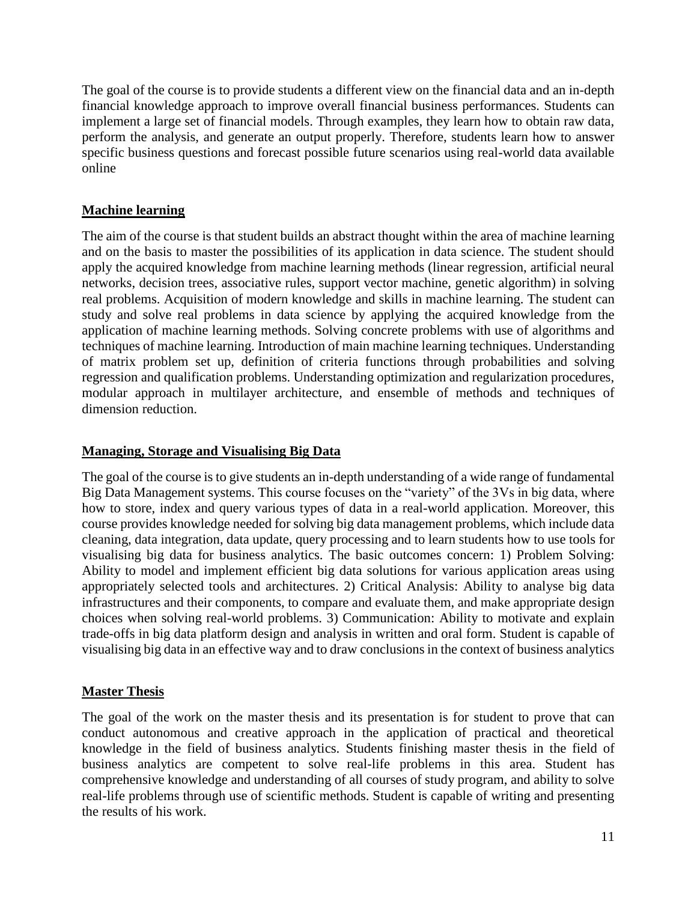The goal of the course is to provide students a different view on the financial data and an in-depth financial knowledge approach to improve overall financial business performances. Students can implement a large set of financial models. Through examples, they learn how to obtain raw data, perform the analysis, and generate an output properly. Therefore, students learn how to answer specific business questions and forecast possible future scenarios using real-world data available online

#### **Machine learning**

The aim of the course is that student builds an abstract thought within the area of machine learning and on the basis to master the possibilities of its application in data science. The student should apply the acquired knowledge from machine learning methods (linear regression, artificial neural networks, decision trees, associative rules, support vector machine, genetic algorithm) in solving real problems. Acquisition of modern knowledge and skills in machine learning. The student can study and solve real problems in data science by applying the acquired knowledge from the application of machine learning methods. Solving concrete problems with use of algorithms and techniques of machine learning. Introduction of main machine learning techniques. Understanding of matrix problem set up, definition of criteria functions through probabilities and solving regression and qualification problems. Understanding optimization and regularization procedures, modular approach in multilayer architecture, and ensemble of methods and techniques of dimension reduction.

#### **Managing, Storage and Visualising Big Data**

The goal of the course is to give students an in-depth understanding of a wide range of fundamental Big Data Management systems. This course focuses on the "variety" of the 3Vs in big data, where how to store, index and query various types of data in a real-world application. Moreover, this course provides knowledge needed for solving big data management problems, which include data cleaning, data integration, data update, query processing and to learn students how to use tools for visualising big data for business analytics. The basic outcomes concern: 1) Problem Solving: Ability to model and implement efficient big data solutions for various application areas using appropriately selected tools and architectures. 2) Critical Analysis: Ability to analyse big data infrastructures and their components, to compare and evaluate them, and make appropriate design choices when solving real-world problems. 3) Communication: Ability to motivate and explain trade-offs in big data platform design and analysis in written and oral form. Student is capable of visualising big data in an effective way and to draw conclusions in the context of business analytics

#### **Master Thesis**

The goal of the work on the master thesis and its presentation is for student to prove that can conduct autonomous and creative approach in the application of practical and theoretical knowledge in the field of business analytics. Students finishing master thesis in the field of business analytics are competent to solve real-life problems in this area. Student has comprehensive knowledge and understanding of all courses of study program, and ability to solve real-life problems through use of scientific methods. Student is capable of writing and presenting the results of his work.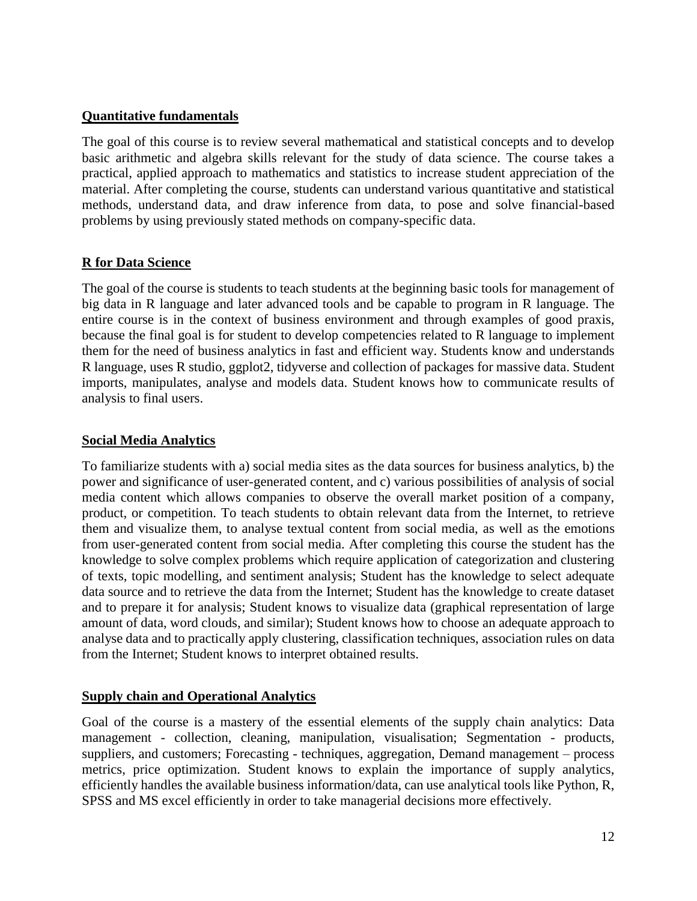#### **Quantitative fundamentals**

The goal of this course is to review several mathematical and statistical concepts and to develop basic arithmetic and algebra skills relevant for the study of data science. The course takes a practical, applied approach to mathematics and statistics to increase student appreciation of the material. After completing the course, students can understand various quantitative and statistical methods, understand data, and draw inference from data, to pose and solve financial-based problems by using previously stated methods on company-specific data.

# **R for Data Science**

The goal of the course is students to teach students at the beginning basic tools for management of big data in R language and later advanced tools and be capable to program in R language. The entire course is in the context of business environment and through examples of good praxis, because the final goal is for student to develop competencies related to R language to implement them for the need of business analytics in fast and efficient way. Students know and understands R language, uses R studio, ggplot2, tidyverse and collection of packages for massive data. Student imports, manipulates, analyse and models data. Student knows how to communicate results of analysis to final users.

#### **Social Media Analytics**

To familiarize students with a) social media sites as the data sources for business analytics, b) the power and significance of user-generated content, and c) various possibilities of analysis of social media content which allows companies to observe the overall market position of a company, product, or competition. To teach students to obtain relevant data from the Internet, to retrieve them and visualize them, to analyse textual content from social media, as well as the emotions from user-generated content from social media. After completing this course the student has the knowledge to solve complex problems which require application of categorization and clustering of texts, topic modelling, and sentiment analysis; Student has the knowledge to select adequate data source and to retrieve the data from the Internet; Student has the knowledge to create dataset and to prepare it for analysis; Student knows to visualize data (graphical representation of large amount of data, word clouds, and similar); Student knows how to choose an adequate approach to analyse data and to practically apply clustering, classification techniques, association rules on data from the Internet; Student knows to interpret obtained results.

#### **Supply chain and Operational Analytics**

Goal of the course is a mastery of the essential elements of the supply chain analytics: Data management - collection, cleaning, manipulation, visualisation; Segmentation - products, suppliers, and customers; Forecasting - techniques, aggregation, Demand management – process metrics, price optimization. Student knows to explain the importance of supply analytics, efficiently handles the available business information/data, can use analytical tools like Python, R, SPSS and MS excel efficiently in order to take managerial decisions more effectively.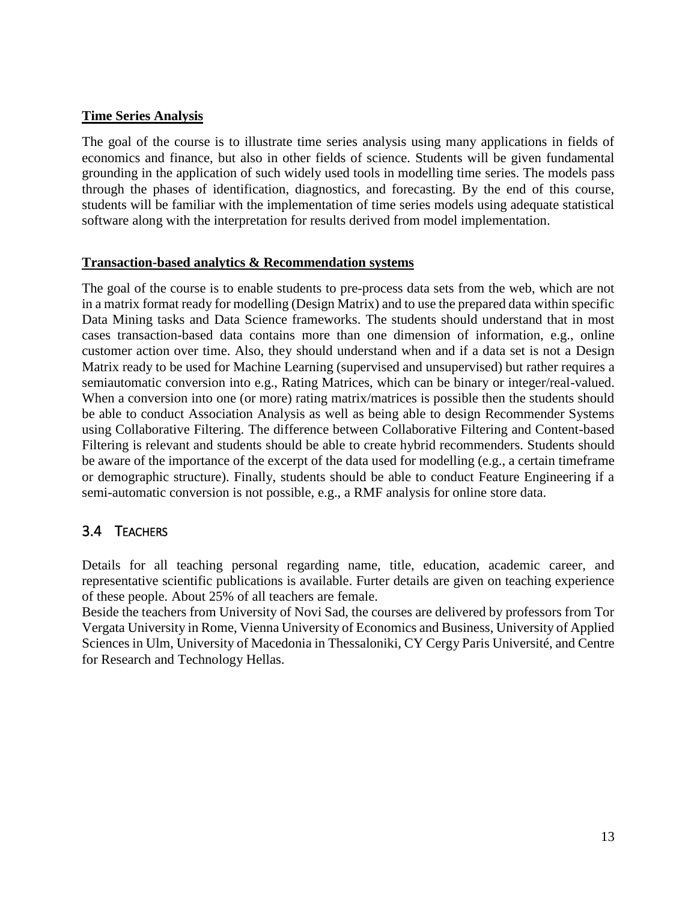#### **Time Series Analysis**

The goal of the course is to illustrate time series analysis using many applications in fields of economics and finance, but also in other fields of science. Students will be given fundamental grounding in the application of such widely used tools in modelling time series. The models pass through the phases of identification, diagnostics, and forecasting. By the end of this course, students will be familiar with the implementation of time series models using adequate statistical software along with the interpretation for results derived from model implementation.

#### **Transaction-based analytics & Recommendation systems**

The goal of the course is to enable students to pre-process data sets from the web, which are not in a matrix format ready for modelling (Design Matrix) and to use the prepared data within specific Data Mining tasks and Data Science frameworks. The students should understand that in most cases transaction-based data contains more than one dimension of information, e.g., online customer action over time. Also, they should understand when and if a data set is not a Design Matrix ready to be used for Machine Learning (supervised and unsupervised) but rather requires a semiautomatic conversion into e.g., Rating Matrices, which can be binary or integer/real-valued. When a conversion into one (or more) rating matrix/matrices is possible then the students should be able to conduct Association Analysis as well as being able to design Recommender Systems using Collaborative Filtering. The difference between Collaborative Filtering and Content-based Filtering is relevant and students should be able to create hybrid recommenders. Students should be aware of the importance of the excerpt of the data used for modelling (e.g., a certain timeframe or demographic structure). Finally, students should be able to conduct Feature Engineering if a semi-automatic conversion is not possible, e.g., a RMF analysis for online store data.

# <span id="page-12-0"></span>3.4 TEACHERS

Details for all teaching personal regarding name, title, education, academic career, and representative scientific publications is available. Furter details are given on teaching experience of these people. About 25% of all teachers are female.

Beside the teachers from University of Novi Sad, the courses are delivered by professors from Tor Vergata University in Rome, Vienna University of Economics and Business, University of Applied Sciences in Ulm, University of Macedonia in Thessaloniki, CY Cergy Paris Université, and Centre for Research and Technology Hellas.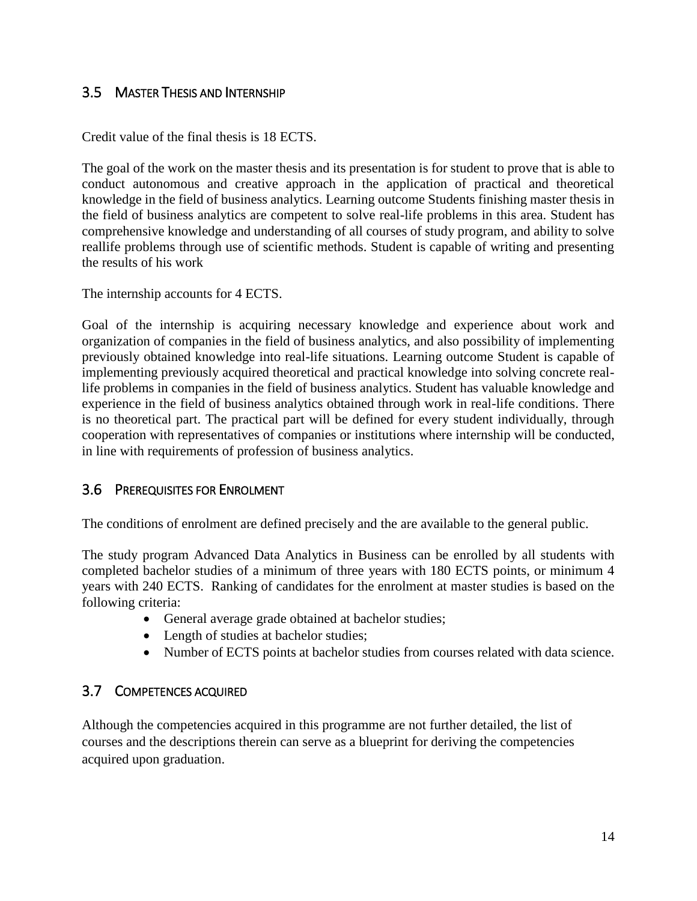# <span id="page-13-0"></span>3.5 MASTER THESIS AND INTERNSHIP

Credit value of the final thesis is 18 ECTS.

The goal of the work on the master thesis and its presentation is for student to prove that is able to conduct autonomous and creative approach in the application of practical and theoretical knowledge in the field of business analytics. Learning outcome Students finishing master thesis in the field of business analytics are competent to solve real-life problems in this area. Student has comprehensive knowledge and understanding of all courses of study program, and ability to solve reallife problems through use of scientific methods. Student is capable of writing and presenting the results of his work

The internship accounts for 4 ECTS.

Goal of the internship is acquiring necessary knowledge and experience about work and organization of companies in the field of business analytics, and also possibility of implementing previously obtained knowledge into real-life situations. Learning outcome Student is capable of implementing previously acquired theoretical and practical knowledge into solving concrete reallife problems in companies in the field of business analytics. Student has valuable knowledge and experience in the field of business analytics obtained through work in real-life conditions. There is no theoretical part. The practical part will be defined for every student individually, through cooperation with representatives of companies or institutions where internship will be conducted, in line with requirements of profession of business analytics.

# <span id="page-13-1"></span>3.6 PREREQUISITES FOR ENROLMENT

The conditions of enrolment are defined precisely and the are available to the general public.

The study program Advanced Data Analytics in Business can be enrolled by all students with completed bachelor studies of a minimum of three years with 180 ECTS points, or minimum 4 years with 240 ECTS. Ranking of candidates for the enrolment at master studies is based on the following criteria:

- General average grade obtained at bachelor studies;
- Length of studies at bachelor studies;
- Number of ECTS points at bachelor studies from courses related with data science.

# <span id="page-13-2"></span>3.7 COMPETENCES ACQUIRED

Although the competencies acquired in this programme are not further detailed, the list of courses and the descriptions therein can serve as a blueprint for deriving the competencies acquired upon graduation.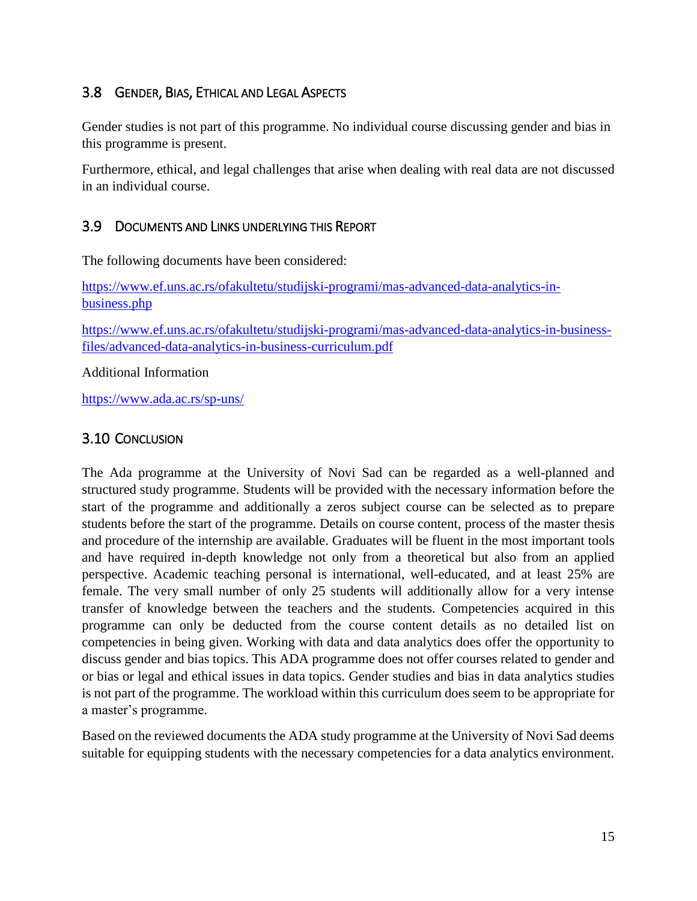# <span id="page-14-0"></span>3.8 GENDER, BIAS, ETHICAL AND LEGAL ASPECTS

Gender studies is not part of this programme. No individual course discussing gender and bias in this programme is present.

Furthermore, ethical, and legal challenges that arise when dealing with real data are not discussed in an individual course.

# <span id="page-14-1"></span>3.9 DOCUMENTS AND LINKS UNDERLYING THIS REPORT

The following documents have been considered:

[https://www.ef.uns.ac.rs/ofakultetu/studijski-programi/mas-advanced-data-analytics-in](https://www.ef.uns.ac.rs/ofakultetu/studijski-programi/mas-advanced-data-analytics-in-business.php)[business.php](https://www.ef.uns.ac.rs/ofakultetu/studijski-programi/mas-advanced-data-analytics-in-business.php)

[https://www.ef.uns.ac.rs/ofakultetu/studijski-programi/mas-advanced-data-analytics-in-business](https://www.ef.uns.ac.rs/ofakultetu/studijski-programi/mas-advanced-data-analytics-in-business-files/advanced-data-analytics-in-business-curriculum.pdf)[files/advanced-data-analytics-in-business-curriculum.pdf](https://www.ef.uns.ac.rs/ofakultetu/studijski-programi/mas-advanced-data-analytics-in-business-files/advanced-data-analytics-in-business-curriculum.pdf)

Additional Information

<https://www.ada.ac.rs/sp-uns/>

# <span id="page-14-2"></span>3.10 CONCLUSION

The Ada programme at the University of Novi Sad can be regarded as a well-planned and structured study programme. Students will be provided with the necessary information before the start of the programme and additionally a zeros subject course can be selected as to prepare students before the start of the programme. Details on course content, process of the master thesis and procedure of the internship are available. Graduates will be fluent in the most important tools and have required in-depth knowledge not only from a theoretical but also from an applied perspective. Academic teaching personal is international, well-educated, and at least 25% are female. The very small number of only 25 students will additionally allow for a very intense transfer of knowledge between the teachers and the students. Competencies acquired in this programme can only be deducted from the course content details as no detailed list on competencies in being given. Working with data and data analytics does offer the opportunity to discuss gender and bias topics. This ADA programme does not offer courses related to gender and or bias or legal and ethical issues in data topics. Gender studies and bias in data analytics studies is not part of the programme. The workload within this curriculum does seem to be appropriate for a master's programme.

Based on the reviewed documents the ADA study programme at the University of Novi Sad deems suitable for equipping students with the necessary competencies for a data analytics environment.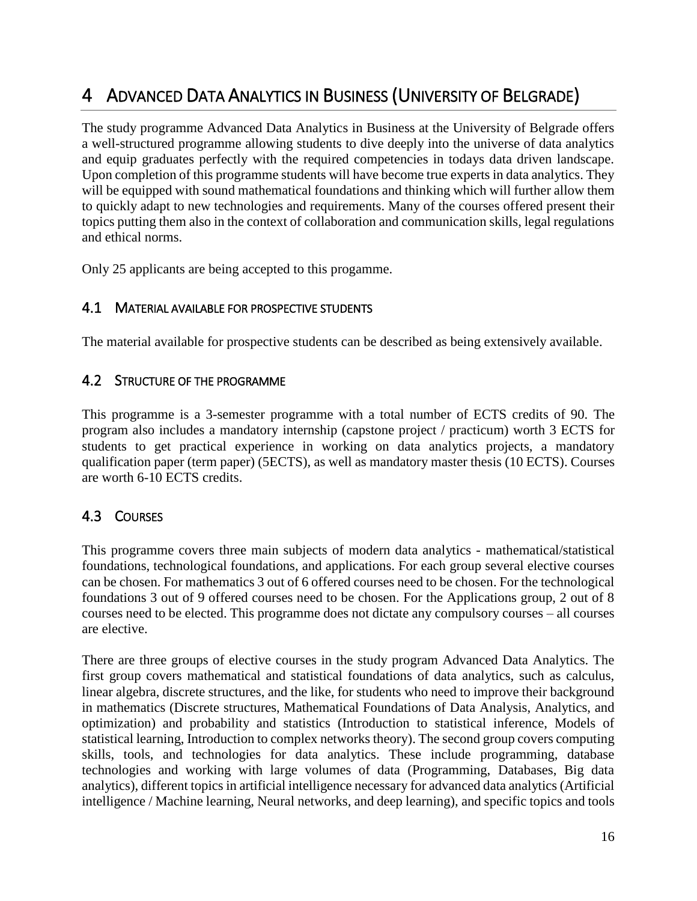# <span id="page-15-0"></span>4 ADVANCED DATA ANALYTICS IN BUSINESS (UNIVERSITY OF BELGRADE)

The study programme Advanced Data Analytics in Business at the University of Belgrade offers a well-structured programme allowing students to dive deeply into the universe of data analytics and equip graduates perfectly with the required competencies in todays data driven landscape. Upon completion of this programme students will have become true experts in data analytics. They will be equipped with sound mathematical foundations and thinking which will further allow them to quickly adapt to new technologies and requirements. Many of the courses offered present their topics putting them also in the context of collaboration and communication skills, legal regulations and ethical norms.

<span id="page-15-1"></span>Only 25 applicants are being accepted to this progamme.

# 4.1 MATERIAL AVAILABLE FOR PROSPECTIVE STUDENTS

<span id="page-15-2"></span>The material available for prospective students can be described as being extensively available.

# 4.2 STRUCTURE OF THE PROGRAMME

This programme is a 3-semester programme with a total number of ECTS credits of 90. The program also includes a mandatory [internship](https://ada.studije.rect.bg.ac.rs/internship/) (capstone project / practicum) worth 3 ECTS for students to get practical experience in working on data analytics projects, a mandatory [qualification paper](https://ada.studije.rect.bg.ac.rs/qualification-paper-term-paper/) (term paper) (5ECTS), as well as mandatory [master thesis](https://ada.studije.rect.bg.ac.rs/master-thesis/) (10 ECTS). Courses are worth 6-10 ECTS credits.

# <span id="page-15-3"></span>4.3 COURSES

This programme covers three main subjects of modern data analytics - mathematical/statistical foundations, technological foundations, and applications. For each group several elective courses can be chosen. For mathematics 3 out of 6 offered courses need to be chosen. For the technological foundations 3 out of 9 offered courses need to be chosen. For the Applications group, 2 out of 8 courses need to be elected. This programme does not dictate any compulsory courses – all courses are elective.

There are three groups of elective courses in the study program Advanced Data Analytics. The first group covers mathematical and statistical foundations of data analytics, such as calculus, linear algebra, discrete structures, and the like, for students who need to improve their background in mathematics (Discrete structures, Mathematical Foundations of Data Analysis, Analytics, and optimization) and probability and statistics (Introduction to statistical inference, Models of statistical learning, Introduction to complex networks theory). The second group covers computing skills, tools, and technologies for data analytics. These include programming, database technologies and working with large volumes of data (Programming, Databases, Big data analytics), different topics in artificial intelligence necessary for advanced data analytics (Artificial intelligence / Machine learning, Neural networks, and deep learning), and specific topics and tools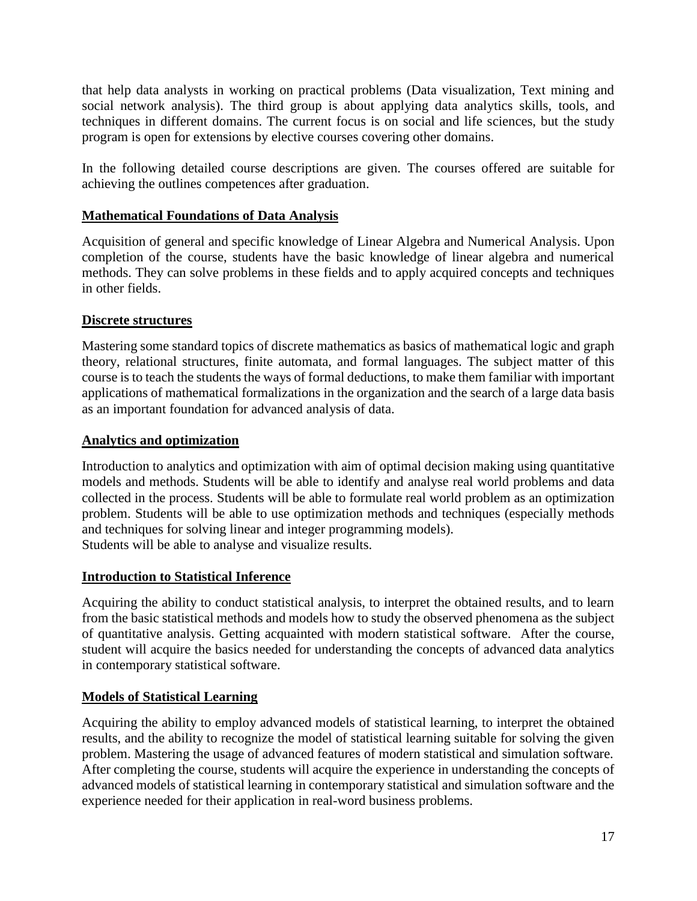that help data analysts in working on practical problems (Data visualization, Text mining and social network analysis). The third group is about applying data analytics skills, tools, and techniques in different domains. The current focus is on social and life sciences, but the study program is open for extensions by elective courses covering other domains.

In the following detailed course descriptions are given. The courses offered are suitable for achieving the outlines competences after graduation.

### **Mathematical Foundations of Data Analysis**

Acquisition of general and specific knowledge of Linear Algebra and Numerical Analysis. Upon completion of the course, students have the basic knowledge of linear algebra and numerical methods. They can solve problems in these fields and to apply acquired concepts and techniques in other fields.

#### **Discrete structures**

Mastering some standard topics of discrete mathematics as basics of mathematical logic and graph theory, relational structures, finite automata, and formal languages. The subject matter of this course is to teach the students the ways of formal deductions, to make them familiar with important applications of mathematical formalizations in the organization and the search of a large data basis as an important foundation for advanced analysis of data.

#### **Analytics and optimization**

Introduction to analytics and optimization with aim of optimal decision making using quantitative models and methods. Students will be able to identify and analyse real world problems and data collected in the process. Students will be able to formulate real world problem as an optimization problem. Students will be able to use optimization methods and techniques (especially methods and techniques for solving linear and integer programming models). Students will be able to analyse and visualize results.

#### **Introduction to Statistical Inference**

Acquiring the ability to conduct statistical analysis, to interpret the obtained results, and to learn from the basic statistical methods and models how to study the observed phenomena as the subject of quantitative analysis. Getting acquainted with modern statistical software. After the course, student will acquire the basics needed for understanding the concepts of advanced data analytics in contemporary statistical software.

#### **Models of Statistical Learning**

Acquiring the ability to employ advanced models of statistical learning, to interpret the obtained results, and the ability to recognize the model of statistical learning suitable for solving the given problem. Mastering the usage of advanced features of modern statistical and simulation software. After completing the course, students will acquire the experience in understanding the concepts of advanced models of statistical learning in contemporary statistical and simulation software and the experience needed for their application in real-word business problems.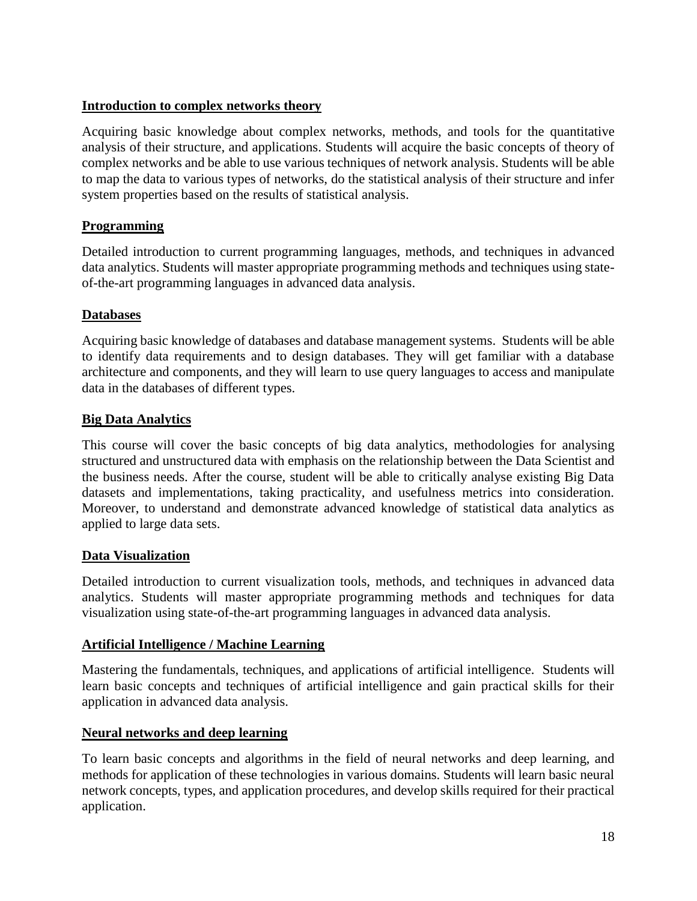#### **Introduction to complex networks theory**

Acquiring basic knowledge about complex networks, methods, and tools for the quantitative analysis of their structure, and applications. Students will acquire the basic concepts of theory of complex networks and be able to use various techniques of network analysis. Students will be able to map the data to various types of networks, do the statistical analysis of their structure and infer system properties based on the results of statistical analysis.

# **Programming**

Detailed introduction to current programming languages, methods, and techniques in advanced data analytics. Students will master appropriate programming methods and techniques using stateof-the-art programming languages in advanced data analysis.

# **Databases**

Acquiring basic knowledge of databases and database management systems. Students will be able to identify data requirements and to design databases. They will get familiar with a database architecture and components, and they will learn to use query languages to access and manipulate data in the databases of different types.

# **Big Data Analytics**

This course will cover the basic concepts of big data analytics, methodologies for analysing structured and unstructured data with emphasis on the relationship between the Data Scientist and the business needs. After the course, student will be able to critically analyse existing Big Data datasets and implementations, taking practicality, and usefulness metrics into consideration. Moreover, to understand and demonstrate advanced knowledge of statistical data analytics as applied to large data sets.

#### **Data Visualization**

Detailed introduction to current visualization tools, methods, and techniques in advanced data analytics. Students will master appropriate programming methods and techniques for data visualization using state-of-the-art programming languages in advanced data analysis.

#### **Artificial Intelligence / Machine Learning**

Mastering the fundamentals, techniques, and applications of artificial intelligence. Students will learn basic concepts and techniques of artificial intelligence and gain practical skills for their application in advanced data analysis.

#### **Neural networks and deep learning**

To learn basic concepts and algorithms in the field of neural networks and deep learning, and methods for application of these technologies in various domains. Students will learn basic neural network concepts, types, and application procedures, and develop skills required for their practical application.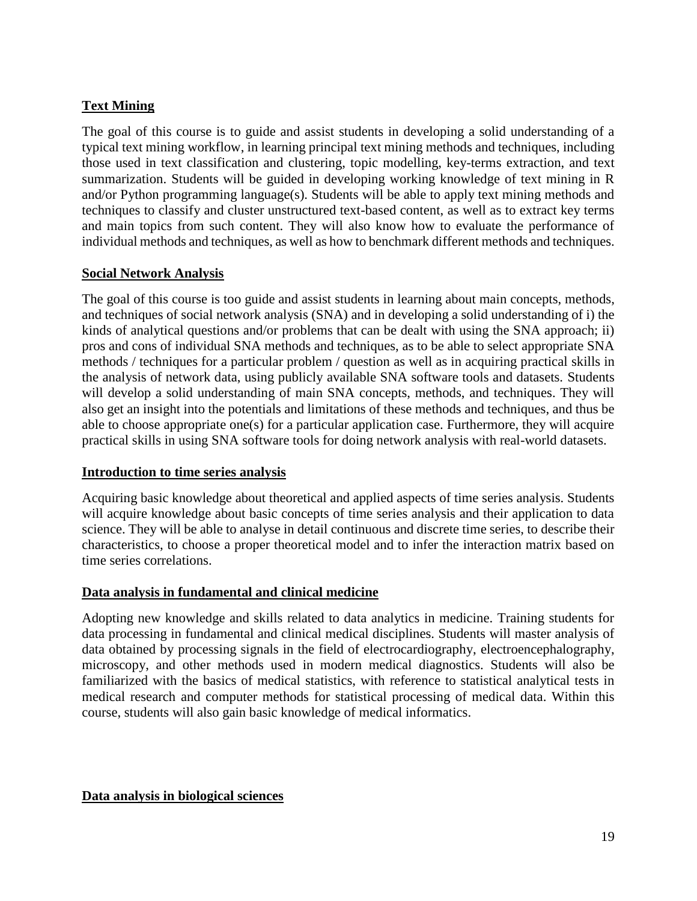# **Text Mining**

The goal of this course is to guide and assist students in developing a solid understanding of a typical text mining workflow, in learning principal text mining methods and techniques, including those used in text classification and clustering, topic modelling, key-terms extraction, and text summarization. Students will be guided in developing working knowledge of text mining in R and/or Python programming language(s). Students will be able to apply text mining methods and techniques to classify and cluster unstructured text-based content, as well as to extract key terms and main topics from such content. They will also know how to evaluate the performance of individual methods and techniques, as well as how to benchmark different methods and techniques.

#### **Social Network Analysis**

The goal of this course is too guide and assist students in learning about main concepts, methods, and techniques of social network analysis (SNA) and in developing a solid understanding of i) the kinds of analytical questions and/or problems that can be dealt with using the SNA approach; ii) pros and cons of individual SNA methods and techniques, as to be able to select appropriate SNA methods / techniques for a particular problem / question as well as in acquiring practical skills in the analysis of network data, using publicly available SNA software tools and datasets. Students will develop a solid understanding of main SNA concepts, methods, and techniques. They will also get an insight into the potentials and limitations of these methods and techniques, and thus be able to choose appropriate one(s) for a particular application case. Furthermore, they will acquire practical skills in using SNA software tools for doing network analysis with real-world datasets.

#### **Introduction to time series analysis**

Acquiring basic knowledge about theoretical and applied aspects of time series analysis. Students will acquire knowledge about basic concepts of time series analysis and their application to data science. They will be able to analyse in detail continuous and discrete time series, to describe their characteristics, to choose a proper theoretical model and to infer the interaction matrix based on time series correlations.

#### **Data analysis in fundamental and clinical medicine**

Adopting new knowledge and skills related to data analytics in medicine. Training students for data processing in fundamental and clinical medical disciplines. Students will master analysis of data obtained by processing signals in the field of electrocardiography, electroencephalography, microscopy, and other methods used in modern medical diagnostics. Students will also be familiarized with the basics of medical statistics, with reference to statistical analytical tests in medical research and computer methods for statistical processing of medical data. Within this course, students will also gain basic knowledge of medical informatics.

#### **Data analysis in biological sciences**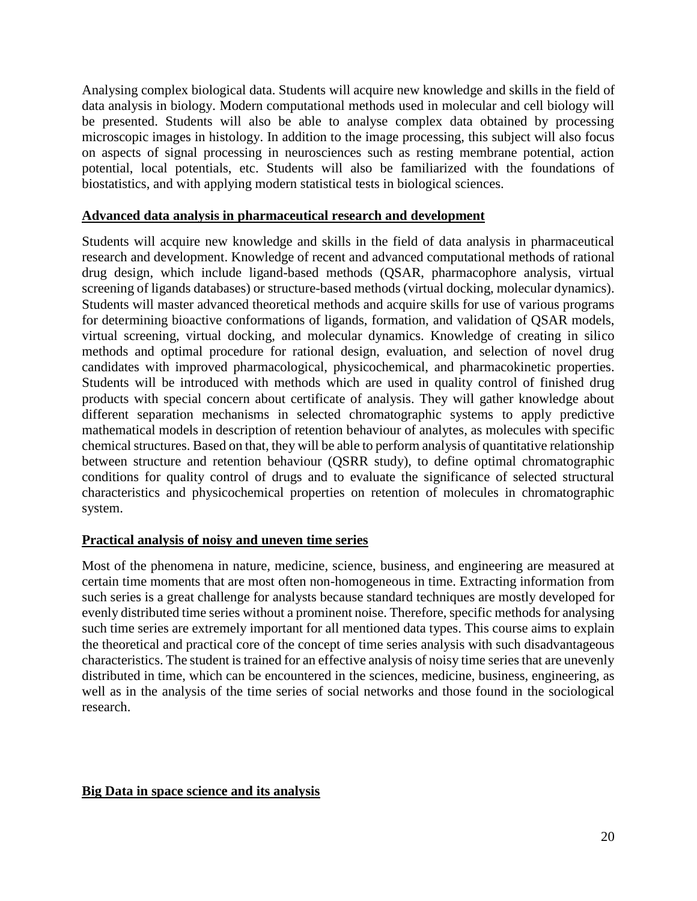Analysing complex biological data. Students will acquire new knowledge and skills in the field of data analysis in biology. Modern computational methods used in molecular and cell biology will be presented. Students will also be able to analyse complex data obtained by processing microscopic images in histology. In addition to the image processing, this subject will also focus on aspects of signal processing in neurosciences such as resting membrane potential, action potential, local potentials, etc. Students will also be familiarized with the foundations of biostatistics, and with applying modern statistical tests in biological sciences.

#### **Advanced data analysis in pharmaceutical research and development**

Students will acquire new knowledge and skills in the field of data analysis in pharmaceutical research and development. Knowledge of recent and advanced computational methods of rational drug design, which include ligand-based methods (QSAR, pharmacophore analysis, virtual screening of ligands databases) or structure-based methods (virtual docking, molecular dynamics). Students will master advanced theoretical methods and acquire skills for use of various programs for determining bioactive conformations of ligands, formation, and validation of QSAR models, virtual screening, virtual docking, and molecular dynamics. Knowledge of creating in silico methods and optimal procedure for rational design, evaluation, and selection of novel drug candidates with improved pharmacological, physicochemical, and pharmacokinetic properties. Students will be introduced with methods which are used in quality control of finished drug products with special concern about certificate of analysis. They will gather knowledge about different separation mechanisms in selected chromatographic systems to apply predictive mathematical models in description of retention behaviour of analytes, as molecules with specific chemical structures. Based on that, they will be able to perform analysis of quantitative relationship between structure and retention behaviour (QSRR study), to define optimal chromatographic conditions for quality control of drugs and to evaluate the significance of selected structural characteristics and physicochemical properties on retention of molecules in chromatographic system.

#### **Practical analysis of noisy and uneven time series**

Most of the phenomena in nature, medicine, science, business, and engineering are measured at certain time moments that are most often non-homogeneous in time. Extracting information from such series is a great challenge for analysts because standard techniques are mostly developed for evenly distributed time series without a prominent noise. Therefore, specific methods for analysing such time series are extremely important for all mentioned data types. This course aims to explain the theoretical and practical core of the concept of time series analysis with such disadvantageous characteristics. The student is trained for an effective analysis of noisy time series that are unevenly distributed in time, which can be encountered in the sciences, medicine, business, engineering, as well as in the analysis of the time series of social networks and those found in the sociological research.

#### **Big Data in space science and its analysis**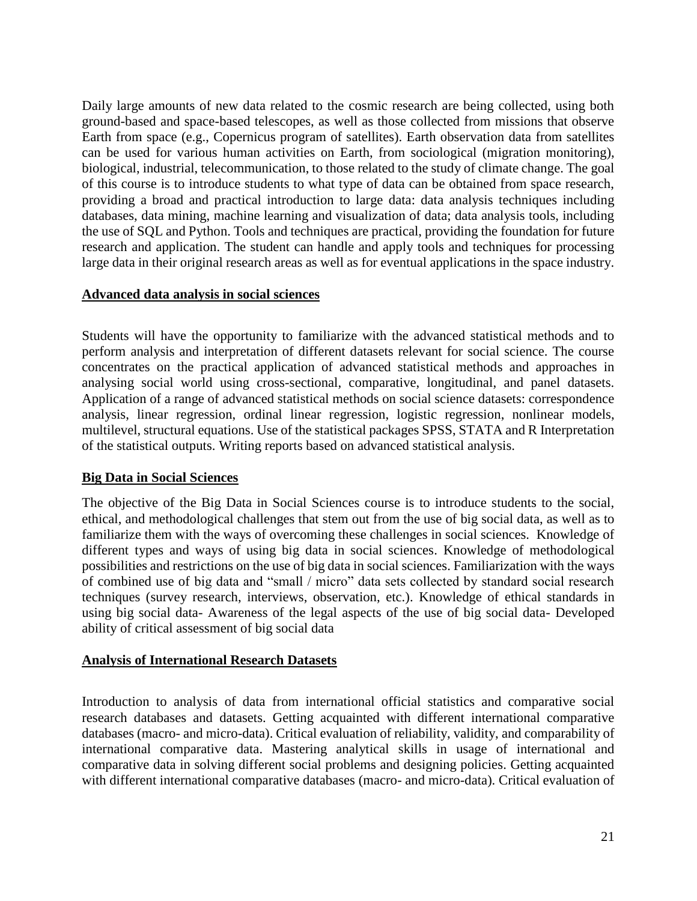Daily large amounts of new data related to the cosmic research are being collected, using both ground-based and space-based telescopes, as well as those collected from missions that observe Earth from space (e.g., Copernicus program of satellites). Earth observation data from satellites can be used for various human activities on Earth, from sociological (migration monitoring), biological, industrial, telecommunication, to those related to the study of climate change. The goal of this course is to introduce students to what type of data can be obtained from space research, providing a broad and practical introduction to large data: data analysis techniques including databases, data mining, machine learning and visualization of data; data analysis tools, including the use of SQL and Python. Tools and techniques are practical, providing the foundation for future research and application. The student can handle and apply tools and techniques for processing large data in their original research areas as well as for eventual applications in the space industry.

#### **Advanced data analysis in social sciences**

Students will have the opportunity to familiarize with the advanced statistical methods and to perform analysis and interpretation of different datasets relevant for social science. The course concentrates on the practical application of advanced statistical methods and approaches in analysing social world using cross-sectional, comparative, longitudinal, and panel datasets. Application of a range of advanced statistical methods on social science datasets: correspondence analysis, linear regression, ordinal linear regression, logistic regression, nonlinear models, multilevel, structural equations. Use of the statistical packages SPSS, STATA and R Interpretation of the statistical outputs. Writing reports based on advanced statistical analysis.

#### **Big Data in Social Sciences**

The objective of the Big Data in Social Sciences course is to introduce students to the social, ethical, and methodological challenges that stem out from the use of big social data, as well as to familiarize them with the ways of overcoming these challenges in social sciences. Knowledge of different types and ways of using big data in social sciences. Knowledge of methodological possibilities and restrictions on the use of big data in social sciences. Familiarization with the ways of combined use of big data and "small / micro" data sets collected by standard social research techniques (survey research, interviews, observation, etc.). Knowledge of ethical standards in using big social data- Awareness of the legal aspects of the use of big social data- Developed ability of critical assessment of big social data

#### **Analysis of International Research Datasets**

Introduction to analysis of data from international official statistics and comparative social research databases and datasets. Getting acquainted with different international comparative databases (macro- and micro-data). Critical evaluation of reliability, validity, and comparability of international comparative data. Mastering analytical skills in usage of international and comparative data in solving different social problems and designing policies. Getting acquainted with different international comparative databases (macro- and micro-data). Critical evaluation of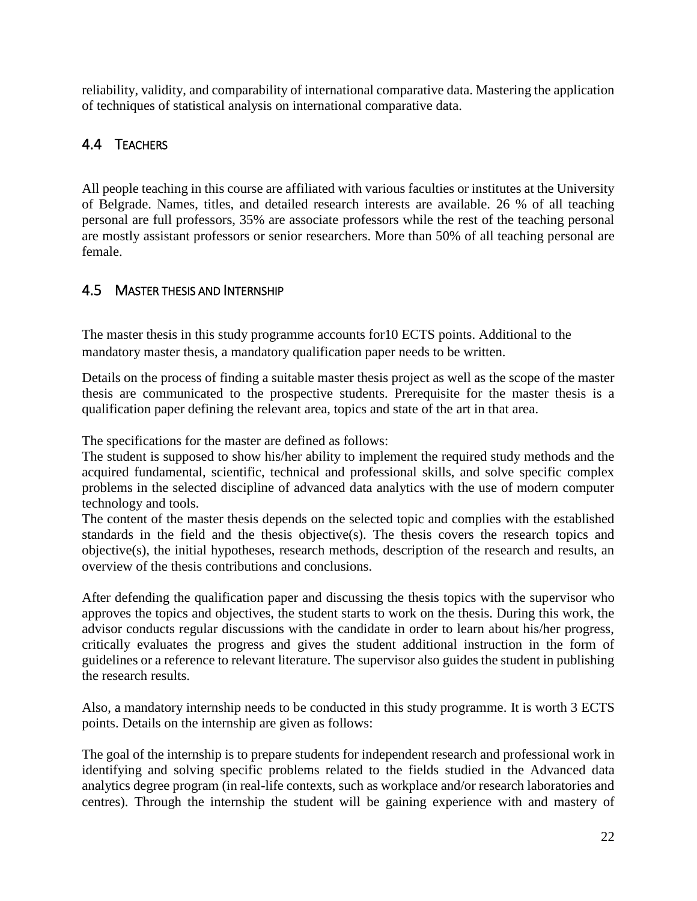reliability, validity, and comparability of international comparative data. Mastering the application of techniques of statistical analysis on international comparative data.

# <span id="page-21-0"></span>4.4 TEACHERS

All people teaching in this course are affiliated with various faculties or institutes at the University of Belgrade. Names, titles, and detailed research interests are available. 26 % of all teaching personal are full professors, 35% are associate professors while the rest of the teaching personal are mostly assistant professors or senior researchers. More than 50% of all teaching personal are female.

# <span id="page-21-1"></span>4.5 MASTER THESIS AND INTERNSHIP

The master thesis in this study programme accounts for10 ECTS points. Additional to the mandatory master thesis, a mandatory qualification paper needs to be written.

Details on the process of finding a suitable master thesis project as well as the scope of the master thesis are communicated to the prospective students. Prerequisite for the master thesis is a qualification paper defining the relevant area, topics and state of the art in that area.

The specifications for the master are defined as follows:

The student is supposed to show his/her ability to implement the required study methods and the acquired fundamental, scientific, technical and professional skills, and solve specific complex problems in the selected discipline of advanced data analytics with the use of modern computer technology and tools.

The content of the master thesis depends on the selected topic and complies with the established standards in the field and the thesis objective(s). The thesis covers the research topics and objective(s), the initial hypotheses, research methods, description of the research and results, an overview of the thesis contributions and conclusions.

After defending the qualification paper and discussing the thesis topics with the supervisor who approves the topics and objectives, the student starts to work on the thesis. During this work, the advisor conducts regular discussions with the candidate in order to learn about his/her progress, critically evaluates the progress and gives the student additional instruction in the form of guidelines or a reference to relevant literature. The supervisor also guides the student in publishing the research results.

Also, a mandatory internship needs to be conducted in this study programme. It is worth 3 ECTS points. Details on the internship are given as follows:

The goal of the internship is to prepare students for independent research and professional work in identifying and solving specific problems related to the fields studied in the Advanced data analytics degree program (in real-life contexts, such as workplace and/or research laboratories and centres). Through the internship the student will be gaining experience with and mastery of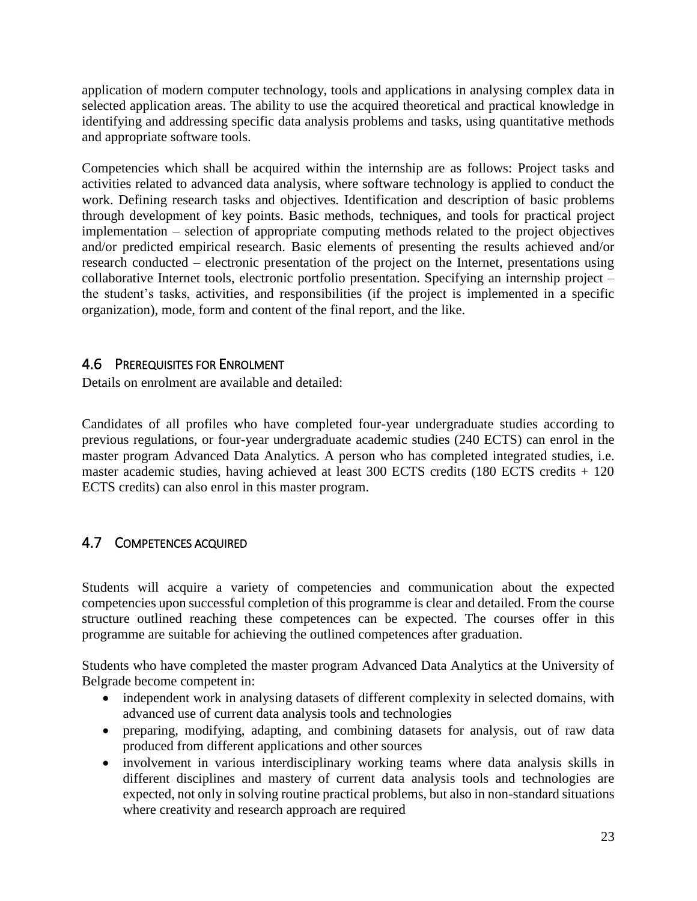application of modern computer technology, tools and applications in analysing complex data in selected application areas. The ability to use the acquired theoretical and practical knowledge in identifying and addressing specific data analysis problems and tasks, using quantitative methods and appropriate software tools.

Competencies which shall be acquired within the internship are as follows: Project tasks and activities related to advanced data analysis, where software technology is applied to conduct the work. Defining research tasks and objectives. Identification and description of basic problems through development of key points. Basic methods, techniques, and tools for practical project implementation – selection of appropriate computing methods related to the project objectives and/or predicted empirical research. Basic elements of presenting the results achieved and/or research conducted – electronic presentation of the project on the Internet, presentations using collaborative Internet tools, electronic portfolio presentation. Specifying an internship project – the student's tasks, activities, and responsibilities (if the project is implemented in a specific organization), mode, form and content of the final report, and the like.

# <span id="page-22-0"></span>4.6 PREREQUISITES FOR ENROLMENT

Details on enrolment are available and detailed:

Candidates of all profiles who have completed four-year undergraduate studies according to previous regulations, or four-year undergraduate academic studies (240 ECTS) can enrol in the master program Advanced Data Analytics. A person who has completed integrated studies, i.e. master academic studies, having achieved at least 300 ECTS credits (180 ECTS credits + 120 ECTS credits) can also enrol in this master program.

# <span id="page-22-1"></span>4.7 COMPETENCES ACQUIRED

Students will acquire a variety of competencies and communication about the expected competencies upon successful completion of this programme is clear and detailed. From the course structure outlined reaching these competences can be expected. The courses offer in this programme are suitable for achieving the outlined competences after graduation.

Students who have completed the master program Advanced Data Analytics at the University of Belgrade become competent in:

- independent work in analysing datasets of different complexity in selected domains, with advanced use of current data analysis tools and technologies
- preparing, modifying, adapting, and combining datasets for analysis, out of raw data produced from different applications and other sources
- involvement in various interdisciplinary working teams where data analysis skills in different disciplines and mastery of current data analysis tools and technologies are expected, not only in solving routine practical problems, but also in non-standard situations where creativity and research approach are required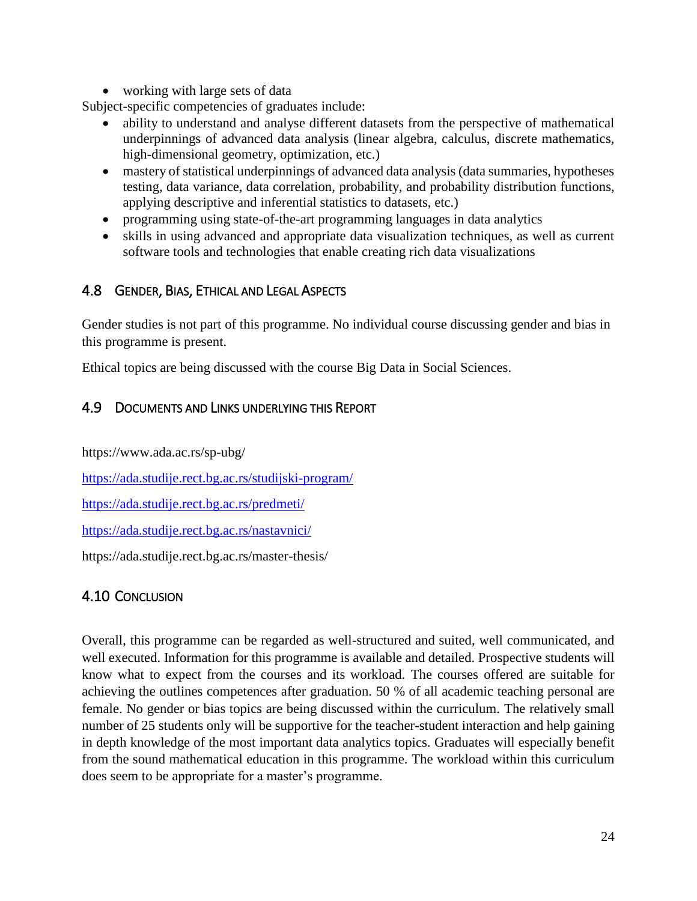• working with large sets of data

Subject-specific competencies of graduates include:

- ability to understand and analyse different datasets from the perspective of mathematical underpinnings of advanced data analysis (linear algebra, calculus, discrete mathematics, high-dimensional geometry, optimization, etc.)
- mastery of statistical underpinnings of advanced data analysis (data summaries, hypotheses testing, data variance, data correlation, probability, and probability distribution functions, applying descriptive and inferential statistics to datasets, etc.)
- programming using state-of-the-art programming languages in data analytics
- skills in using advanced and appropriate data visualization techniques, as well as current software tools and technologies that enable creating rich data visualizations

# <span id="page-23-0"></span>4.8 GENDER, BIAS, ETHICAL AND LEGAL ASPECTS

Gender studies is not part of this programme. No individual course discussing gender and bias in this programme is present.

Ethical topics are being discussed with the course Big Data in Social Sciences.

# <span id="page-23-1"></span>4.9 DOCUMENTS AND LINKS UNDERLYING THIS REPORT

https://www.ada.ac.rs/sp-ubg/

<https://ada.studije.rect.bg.ac.rs/studijski-program/>

<https://ada.studije.rect.bg.ac.rs/predmeti/>

<https://ada.studije.rect.bg.ac.rs/nastavnici/>

https://ada.studije.rect.bg.ac.rs/master-thesis/

# <span id="page-23-2"></span>4.10 CONCLUSION

Overall, this programme can be regarded as well-structured and suited, well communicated, and well executed. Information for this programme is available and detailed. Prospective students will know what to expect from the courses and its workload. The courses offered are suitable for achieving the outlines competences after graduation. 50 % of all academic teaching personal are female. No gender or bias topics are being discussed within the curriculum. The relatively small number of 25 students only will be supportive for the teacher-student interaction and help gaining in depth knowledge of the most important data analytics topics. Graduates will especially benefit from the sound mathematical education in this programme. The workload within this curriculum does seem to be appropriate for a master's programme.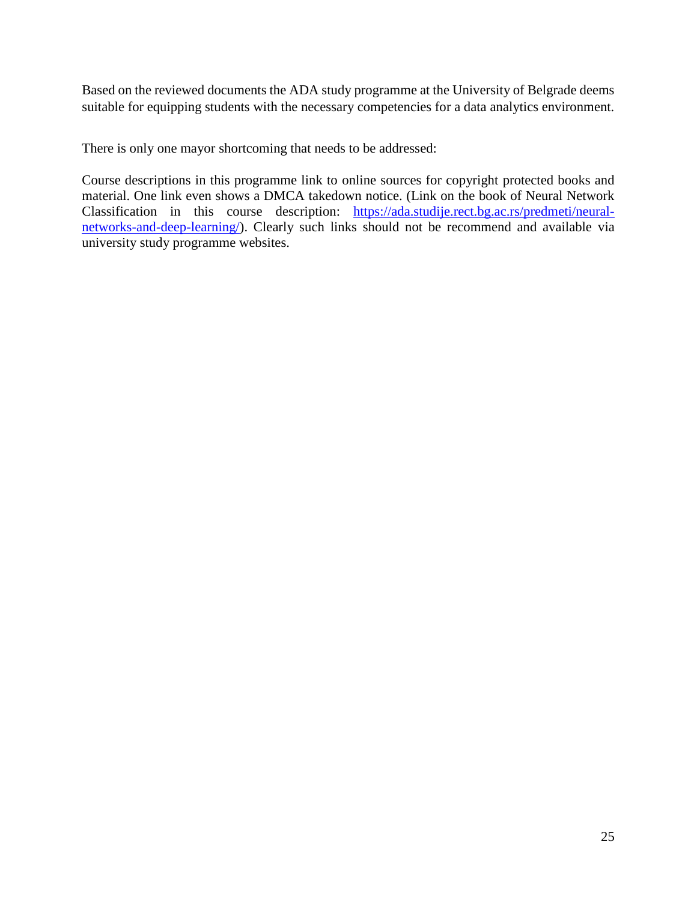Based on the reviewed documents the ADA study programme at the University of Belgrade deems suitable for equipping students with the necessary competencies for a data analytics environment.

There is only one mayor shortcoming that needs to be addressed:

Course descriptions in this programme link to online sources for copyright protected books and material. One link even shows a DMCA takedown notice. (Link on the book of Neural Network Classification in this course description: [https://ada.studije.rect.bg.ac.rs/predmeti/neural](https://ada.studije.rect.bg.ac.rs/predmeti/neural-networks-and-deep-learning/)[networks-and-deep-learning/\)](https://ada.studije.rect.bg.ac.rs/predmeti/neural-networks-and-deep-learning/). Clearly such links should not be recommend and available via university study programme websites.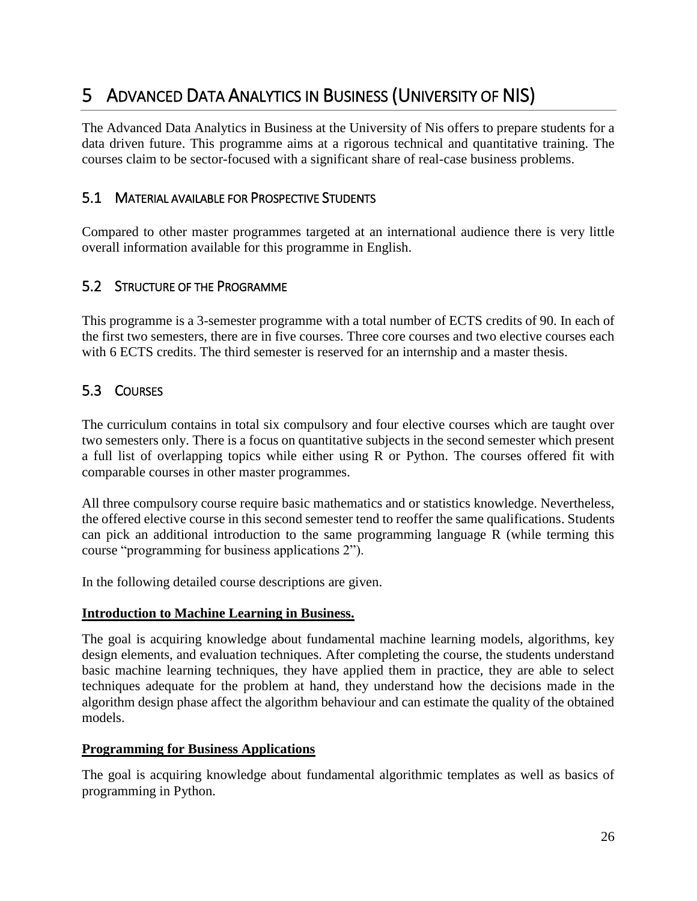# <span id="page-25-0"></span>5 ADVANCED DATA ANALYTICS IN BUSINESS (UNIVERSITY OF NIS)

The Advanced Data Analytics in Business at the University of Nis offers to prepare students for a data driven future. This programme aims at a rigorous technical and quantitative training. The courses claim to be sector-focused with a significant share of real-case business problems.

# <span id="page-25-1"></span>5.1 MATERIAL AVAILABLE FOR PROSPECTIVE STUDENTS

Compared to other master programmes targeted at an international audience there is very little overall information available for this programme in English.

# <span id="page-25-2"></span>5.2 STRUCTURE OF THE PROGRAMME

This programme is a 3-semester programme with a total number of ECTS credits of 90. In each of the first two semesters, there are in five courses. Three core courses and two elective courses each with 6 ECTS credits. The third semester is reserved for an internship and a master thesis.

# <span id="page-25-3"></span>5.3 COURSES

The curriculum contains in total six compulsory and four elective courses which are taught over two semesters only. There is a focus on quantitative subjects in the second semester which present a full list of overlapping topics while either using R or Python. The courses offered fit with comparable courses in other master programmes.

All three compulsory course require basic mathematics and or statistics knowledge. Nevertheless, the offered elective course in this second semester tend to reoffer the same qualifications. Students can pick an additional introduction to the same programming language R (while terming this course "programming for business applications 2").

In the following detailed course descriptions are given.

#### **Introduction to Machine Learning in Business.**

The goal is acquiring knowledge about fundamental machine learning models, algorithms, key design elements, and evaluation techniques. After completing the course, the students understand basic machine learning techniques, they have applied them in practice, they are able to select techniques adequate for the problem at hand, they understand how the decisions made in the algorithm design phase affect the algorithm behaviour and can estimate the quality of the obtained models.

#### **Programming for Business Applications**

The goal is acquiring knowledge about fundamental algorithmic templates as well as basics of programming in Python.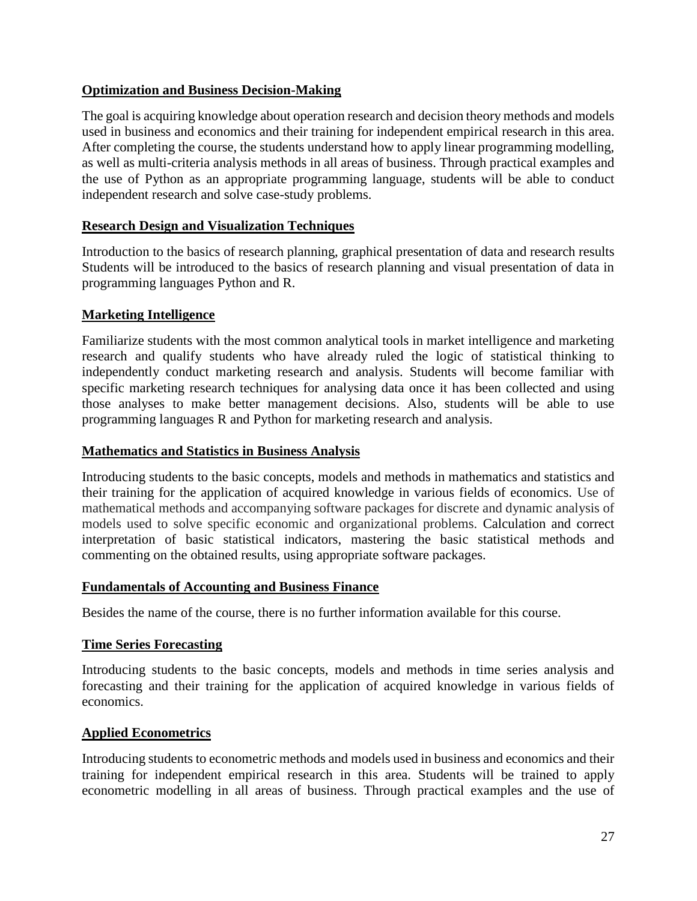#### **Optimization and Business Decision-Making**

The goal is acquiring knowledge about operation research and decision theory methods and models used in business and economics and their training for independent empirical research in this area. After completing the course, the students understand how to apply linear programming modelling, as well as multi-criteria analysis methods in all areas of business. Through practical examples and the use of Python as an appropriate programming language, students will be able to conduct independent research and solve case-study problems.

# **Research Design and Visualization Techniques**

Introduction to the basics of research planning, graphical presentation of data and research results Students will be introduced to the basics of research planning and visual presentation of data in programming languages Python and R.

# **Marketing Intelligence**

Familiarize students with the most common analytical tools in market intelligence and marketing research and qualify students who have already ruled the logic of statistical thinking to independently conduct marketing research and analysis. Students will become familiar with specific marketing research techniques for analysing data once it has been collected and using those analyses to make better management decisions. Also, students will be able to use programming languages R and Python for marketing research and analysis.

#### **Mathematics and Statistics in Business Analysis**

Introducing students to the basic concepts, models and methods in mathematics and statistics and their training for the application of acquired knowledge in various fields of economics. Use of mathematical methods and accompanying software packages for discrete and dynamic analysis of models used to solve specific economic and organizational problems. Calculation and correct interpretation of basic statistical indicators, mastering the basic statistical methods and commenting on the obtained results, using appropriate software packages.

#### **Fundamentals of Accounting and Business Finance**

Besides the name of the course, there is no further information available for this course.

#### **Time Series Forecasting**

Introducing students to the basic concepts, models and methods in time series analysis and forecasting and their training for the application of acquired knowledge in various fields of economics.

#### **Applied Econometrics**

Introducing students to econometric methods and models used in business and economics and their training for independent empirical research in this area. Students will be trained to apply econometric modelling in all areas of business. Through practical examples and the use of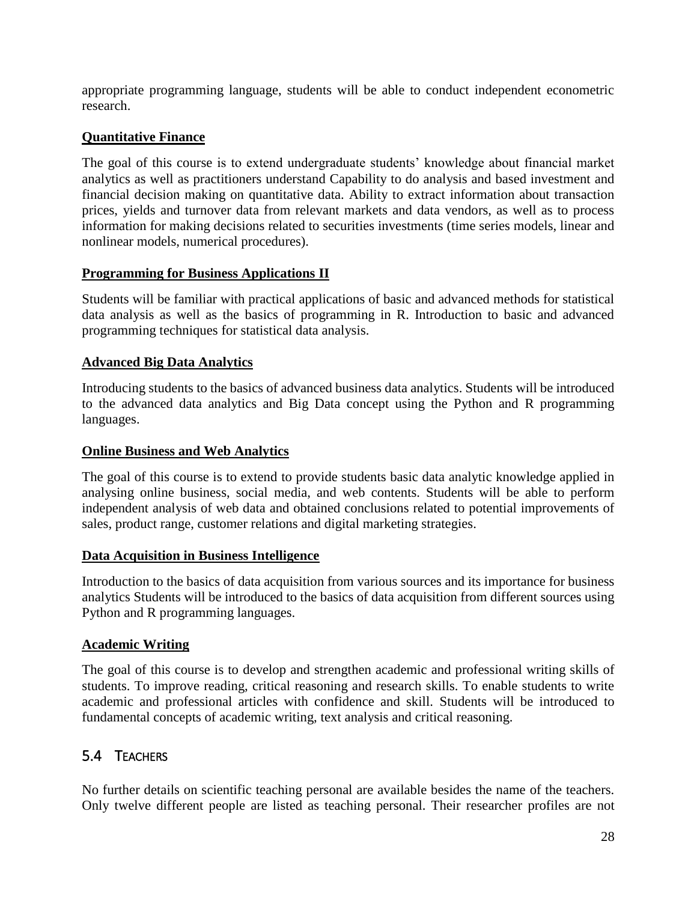appropriate programming language, students will be able to conduct independent econometric research.

### **Quantitative Finance**

The goal of this course is to extend undergraduate students' knowledge about financial market analytics as well as practitioners understand Capability to do analysis and based investment and financial decision making on quantitative data. Ability to extract information about transaction prices, yields and turnover data from relevant markets and data vendors, as well as to process information for making decisions related to securities investments (time series models, linear and nonlinear models, numerical procedures).

#### **Programming for Business Applications II**

Students will be familiar with practical applications of basic and advanced methods for statistical data analysis as well as the basics of programming in R. Introduction to basic and advanced programming techniques for statistical data analysis.

#### **Advanced Big Data Analytics**

Introducing students to the basics of advanced business data analytics. Students will be introduced to the advanced data analytics and Big Data concept using the Python and R programming languages.

#### **Online Business and Web Analytics**

The goal of this course is to extend to provide students basic data analytic knowledge applied in analysing online business, social media, and web contents. Students will be able to perform independent analysis of web data and obtained conclusions related to potential improvements of sales, product range, customer relations and digital marketing strategies.

#### **Data Acquisition in Business Intelligence**

Introduction to the basics of data acquisition from various sources and its importance for business analytics Students will be introduced to the basics of data acquisition from different sources using Python and R programming languages.

#### **Academic Writing**

The goal of this course is to develop and strengthen academic and professional writing skills of students. To improve reading, critical reasoning and research skills. To enable students to write academic and professional articles with confidence and skill. Students will be introduced to fundamental concepts of academic writing, text analysis and critical reasoning.

# <span id="page-27-0"></span>5.4 TEACHERS

No further details on scientific teaching personal are available besides the name of the teachers. Only twelve different people are listed as teaching personal. Their researcher profiles are not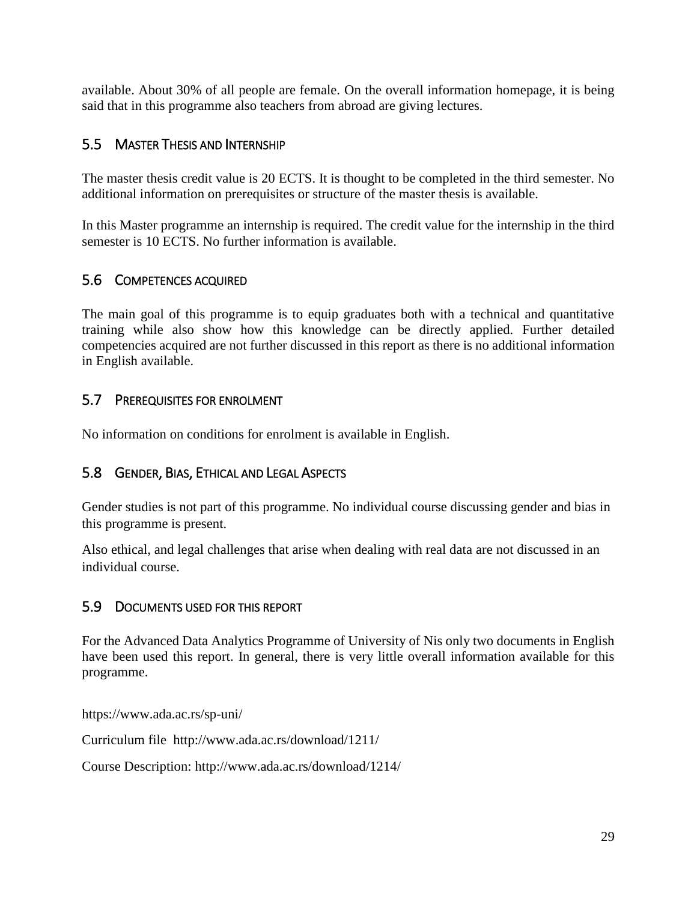available. About 30% of all people are female. On the overall information homepage, it is being said that in this programme also teachers from abroad are giving lectures.

# <span id="page-28-0"></span>5.5 MASTER THESIS AND INTERNSHIP

The master thesis credit value is 20 ECTS. It is thought to be completed in the third semester. No additional information on prerequisites or structure of the master thesis is available.

In this Master programme an internship is required. The credit value for the internship in the third semester is 10 ECTS. No further information is available.

# <span id="page-28-1"></span>5.6 COMPETENCES ACQUIRED

The main goal of this programme is to equip graduates both with a technical and quantitative training while also show how this knowledge can be directly applied. Further detailed competencies acquired are not further discussed in this report as there is no additional information in English available.

# <span id="page-28-2"></span>5.7 PREREQUISITES FOR ENROLMENT

<span id="page-28-3"></span>No information on conditions for enrolment is available in English.

# 5.8 GENDER, BIAS, ETHICAL AND LEGAL ASPECTS

Gender studies is not part of this programme. No individual course discussing gender and bias in this programme is present.

Also ethical, and legal challenges that arise when dealing with real data are not discussed in an individual course.

# <span id="page-28-4"></span>5.9 DOCUMENTS USED FOR THIS REPORT

For the Advanced Data Analytics Programme of University of Nis only two documents in English have been used this report. In general, there is very little overall information available for this programme.

https://www.ada.ac.rs/sp-uni/

Curriculum file <http://www.ada.ac.rs/download/1211/>

Course Description: <http://www.ada.ac.rs/download/1214/>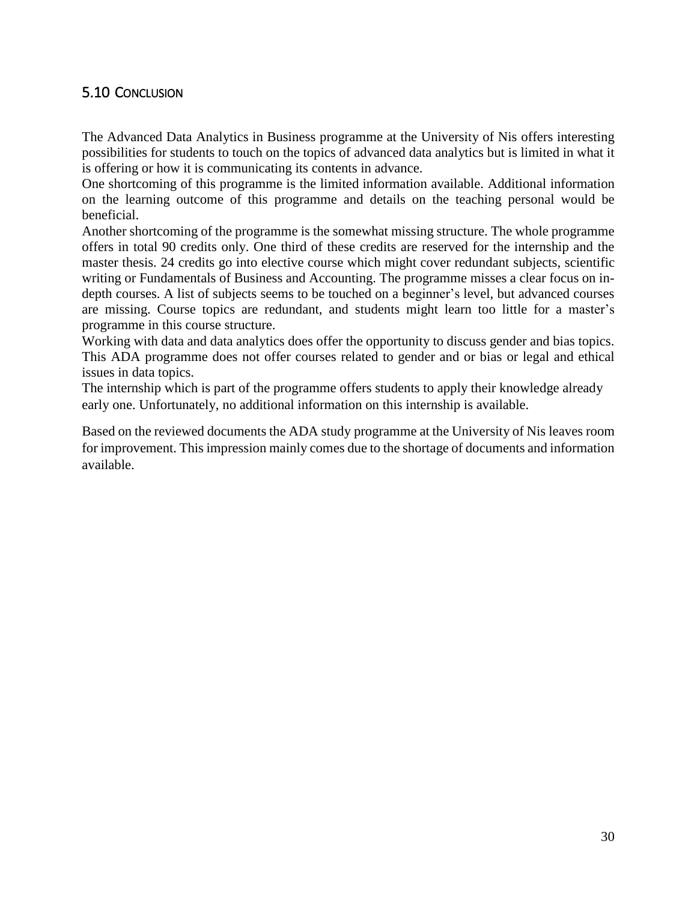# <span id="page-29-0"></span>5.10 CONCLUSION

The Advanced Data Analytics in Business programme at the University of Nis offers interesting possibilities for students to touch on the topics of advanced data analytics but is limited in what it is offering or how it is communicating its contents in advance.

One shortcoming of this programme is the limited information available. Additional information on the learning outcome of this programme and details on the teaching personal would be beneficial.

Another shortcoming of the programme is the somewhat missing structure. The whole programme offers in total 90 credits only. One third of these credits are reserved for the internship and the master thesis. 24 credits go into elective course which might cover redundant subjects, scientific writing or Fundamentals of Business and Accounting. The programme misses a clear focus on indepth courses. A list of subjects seems to be touched on a beginner's level, but advanced courses are missing. Course topics are redundant, and students might learn too little for a master's programme in this course structure.

Working with data and data analytics does offer the opportunity to discuss gender and bias topics. This ADA programme does not offer courses related to gender and or bias or legal and ethical issues in data topics.

The internship which is part of the programme offers students to apply their knowledge already early one. Unfortunately, no additional information on this internship is available.

Based on the reviewed documents the ADA study programme at the University of Nis leaves room for improvement. This impression mainly comes due to the shortage of documents and information available.